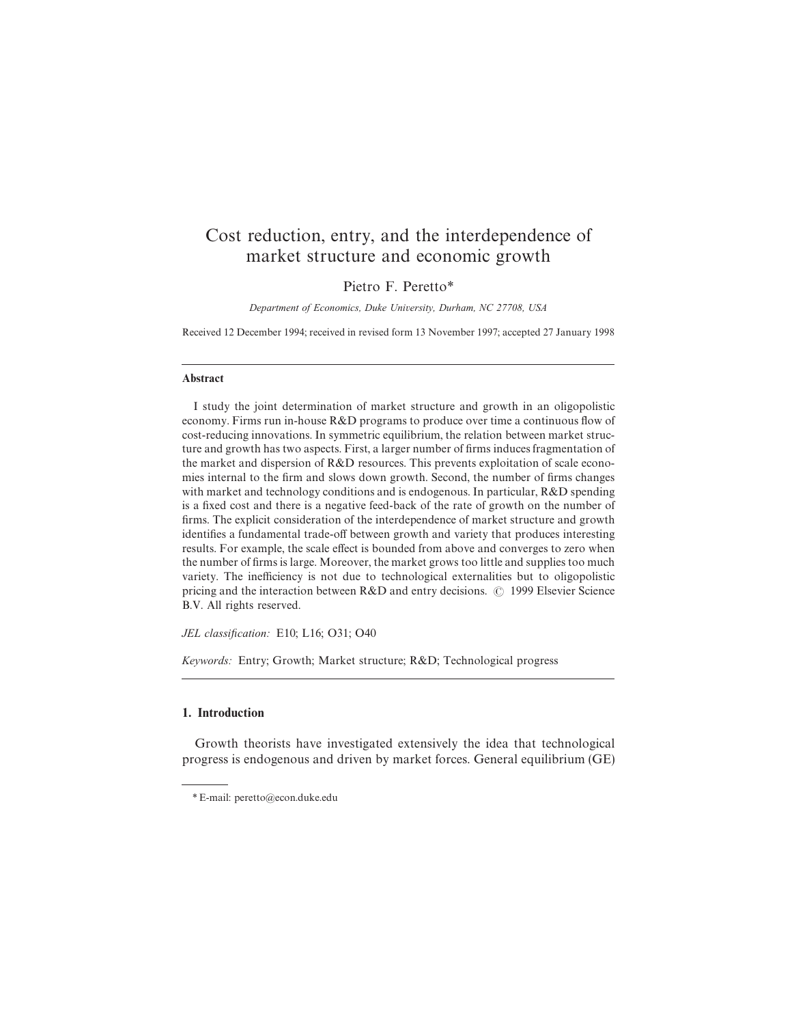# Cost reduction, entry, and the interdependence of market structure and economic growth

## Pietro F. Peretto\*

*Department of Economics, Duke Uni*v*ersity, Durham, NC 27708, USA*

Received 12 December 1994; received in revised form 13 November 1997; accepted 27 January 1998

#### Abstract

I study the joint determination of market structure and growth in an oligopolistic economy. Firms run in-house R&D programs to produce over time a continuous flow of cost-reducing innovations. In symmetric equilibrium, the relation between market structure and growth has two aspects. First, a larger number of firms induces fragmentation of the market and dispersion of R&D resources. This prevents exploitation of scale economies internal to the firm and slows down growth. Second, the number of firms changes with market and technology conditions and is endogenous. In particular, R&D spending is a fixed cost and there is a negative feed-back of the rate of growth on the number of firms. The explicit consideration of the interdependence of market structure and growth identifies a fundamental trade-off between growth and variety that produces interesting results. For example, the scale effect is bounded from above and converges to zero when the number of firms is large. Moreover, the market grows too little and supplies too much variety. The inefficiency is not due to technological externalities but to oligopolistic pricing and the interaction between  $R&D$  and entry decisions.  $\odot$  1999 Elsevier Science B.V. All rights reserved.

*JEL classi*fi*cation:* E10; L16; O31; O40

*Keywords:* Entry; Growth; Market structure; R&D; Technological progress

## 1. Introduction

Growth theorists have investigated extensively the idea that technological progress is endogenous and driven by market forces. General equilibrium (GE)

<sup>\*</sup>E-mail: peretto@econ.duke.edu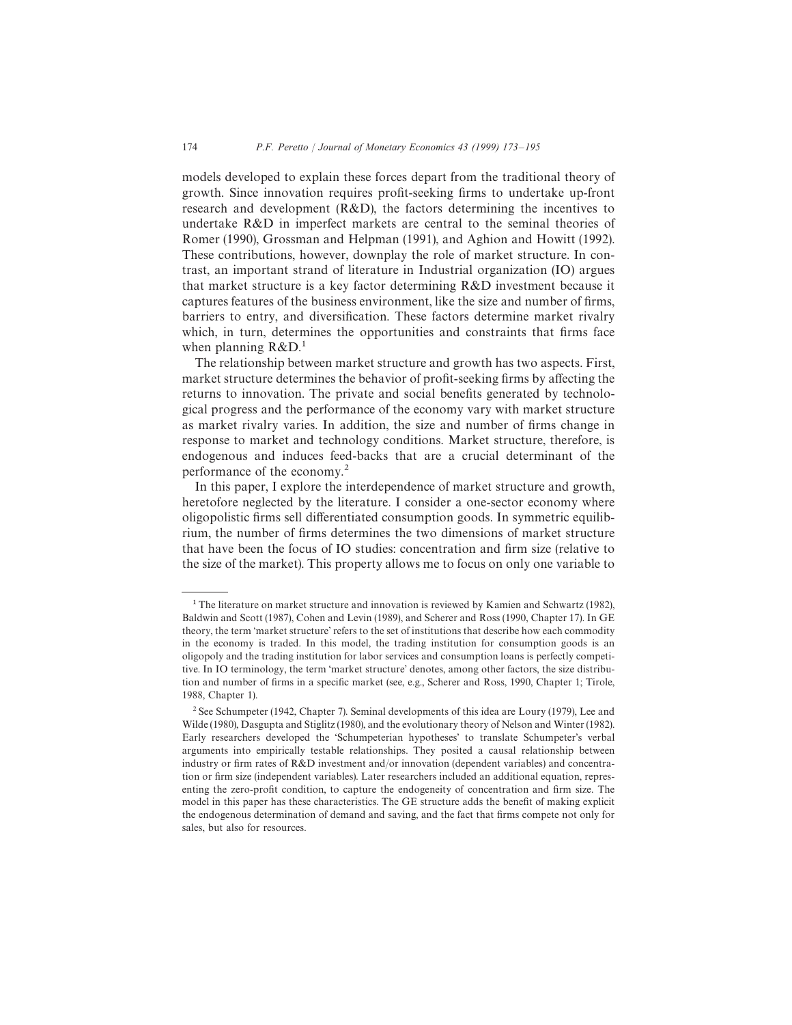models developed to explain these forces depart from the traditional theory of growth. Since innovation requires profit-seeking firms to undertake up-front research and development (R&D), the factors determining the incentives to undertake R&D in imperfect markets are central to the seminal theories of Romer (1990), Grossman and Helpman (1991), and Aghion and Howitt (1992). These contributions, however, downplay the role of market structure. In contrast, an important strand of literature in Industrial organization (IO) argues that market structure is a key factor determining R&D investment because it captures features of the business environment, like the size and number of firms, barriers to entry, and diversification. These factors determine market rivalry which, in turn, determines the opportunities and constraints that firms face when planning  $R&D$ .<sup>1</sup>

The relationship between market structure and growth has two aspects. First, market structure determines the behavior of profit-seeking firms by affecting the returns to innovation. The private and social benefits generated by technological progress and the performance of the economy vary with market structure as market rivalry varies. In addition, the size and number of firms change in response to market and technology conditions. Market structure, therefore, is endogenous and induces feed-backs that are a crucial determinant of the performance of the economy.<sup>2</sup>

In this paper, I explore the interdependence of market structure and growth, heretofore neglected by the literature. I consider a one-sector economy where oligopolistic firms sell differentiated consumption goods. In symmetric equilibrium, the number of firms determines the two dimensions of market structure that have been the focus of IO studies: concentration and firm size (relative to the size of the market). This property allows me to focus on only one variable to

<sup>&</sup>lt;sup>1</sup> The literature on market structure and innovation is reviewed by Kamien and Schwartz (1982), Baldwin and Scott (1987), Cohen and Levin (1989), and Scherer and Ross (1990, Chapter 17). In GE theory, the term 'market structure' refers to the set of institutions that describe how each commodity in the economy is traded. In this model, the trading institution for consumption goods is an oligopoly and the trading institution for labor services and consumption loans is perfectly competitive. In IO terminology, the term 'market structure' denotes, among other factors, the size distribution and number of firms in a specific market (see, e.g., Scherer and Ross, 1990, Chapter 1; Tirole, 1988, Chapter 1).

<sup>&</sup>lt;sup>2</sup> See Schumpeter (1942, Chapter 7). Seminal developments of this idea are Loury (1979), Lee and Wilde (1980), Dasgupta and Stiglitz (1980), and the evolutionary theory of Nelson and Winter (1982). Early researchers developed the 'Schumpeterian hypotheses' to translate Schumpeter's verbal arguments into empirically testable relationships. They posited a causal relationship between industry or firm rates of R&D investment and/or innovation (dependent variables) and concentration or firm size (independent variables). Later researchers included an additional equation, representing the zero-profit condition, to capture the endogeneity of concentration and firm size. The model in this paper has these characteristics. The GE structure adds the benefit of making explicit the endogenous determination of demand and saving, and the fact that firms compete not only for sales, but also for resources.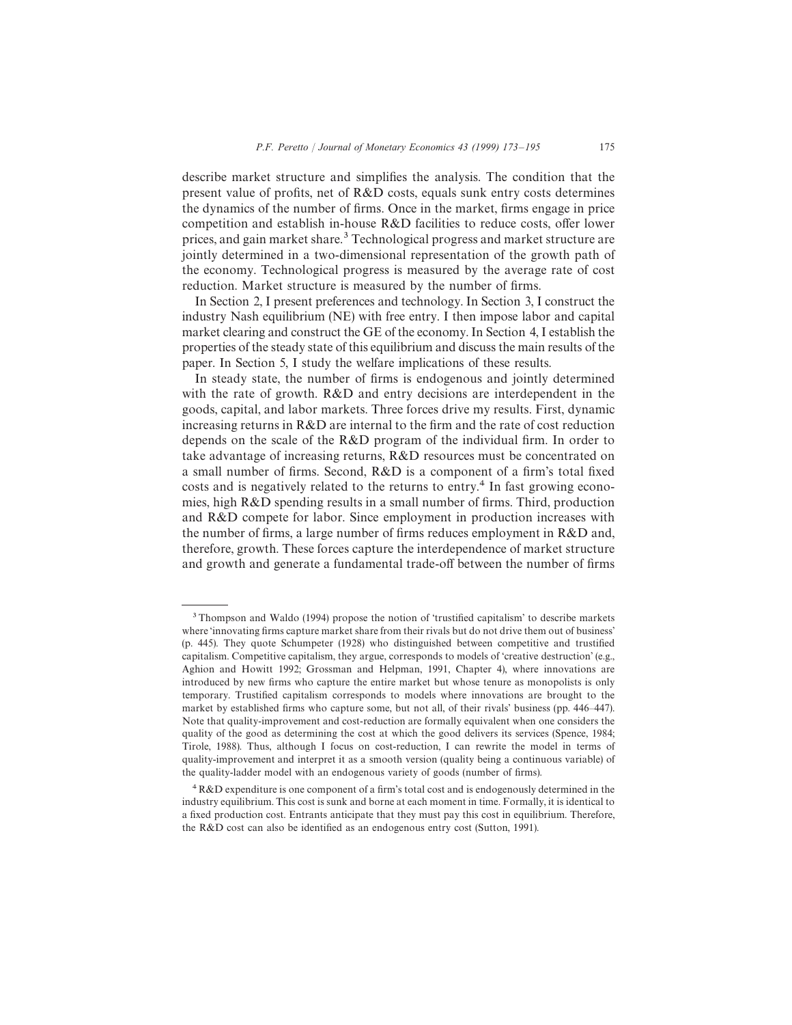describe market structure and simplifies the analysis. The condition that the present value of profits, net of R&D costs, equals sunk entry costs determines the dynamics of the number of firms. Once in the market, firms engage in price competition and establish in-house R&D facilities to reduce costs, offer lower prices, and gain market share.<sup>3</sup> Technological progress and market structure are jointly determined in a two-dimensional representation of the growth path of the economy. Technological progress is measured by the average rate of cost reduction. Market structure is measured by the number of firms.

In Section 2, I present preferences and technology. In Section 3, I construct the industry Nash equilibrium (NE) with free entry. I then impose labor and capital market clearing and construct the GE of the economy. In Section 4, I establish the properties of the steady state of this equilibrium and discuss the main results of the paper. In Section 5, I study the welfare implications of these results.

In steady state, the number of firms is endogenous and jointly determined with the rate of growth. R&D and entry decisions are interdependent in the goods, capital, and labor markets. Three forces drive my results. First, dynamic increasing returns in R&D are internal to the firm and the rate of cost reduction depends on the scale of the R&D program of the individual firm. In order to take advantage of increasing returns, R&D resources must be concentrated on a small number of firms. Second, R&D is a component of a firm's total fixed costs and is negatively related to the returns to entry.<sup>4</sup> In fast growing economies, high R&D spending results in a small number of firms. Third, production and R&D compete for labor. Since employment in production increases with the number of firms, a large number of firms reduces employment in R&D and, therefore, growth. These forces capture the interdependence of market structure and growth and generate a fundamental trade-off between the number of firms

<sup>&</sup>lt;sup>3</sup> Thompson and Waldo (1994) propose the notion of 'trustified capitalism' to describe markets where 'innovating firms capture market share from their rivals but do not drive them out of business' (p. 445). They quote Schumpeter (1928) who distinguished between competitive and trustified capitalism. Competitive capitalism, they argue, corresponds to models of 'creative destruction' (e.g., Aghion and Howitt 1992; Grossman and Helpman, 1991, Chapter 4), where innovations are introduced by new firms who capture the entire market but whose tenure as monopolists is only temporary. Trustified capitalism corresponds to models where innovations are brought to the market by established firms who capture some, but not all, of their rivals' business (pp. 446—447). Note that quality-improvement and cost-reduction are formally equivalent when one considers the quality of the good as determining the cost at which the good delivers its services (Spence, 1984; Tirole, 1988). Thus, although I focus on cost-reduction, I can rewrite the model in terms of quality-improvement and interpret it as a smooth version (quality being a continuous variable) of the quality-ladder model with an endogenous variety of goods (number of firms).

R&D expenditure is one component of a firm's total cost and is endogenously determined in the industry equilibrium. This cost is sunk and borne at each moment in time. Formally, it is identical to a fixed production cost. Entrants anticipate that they must pay this cost in equilibrium. Therefore, the R&D cost can also be identified as an endogenous entry cost (Sutton, 1991).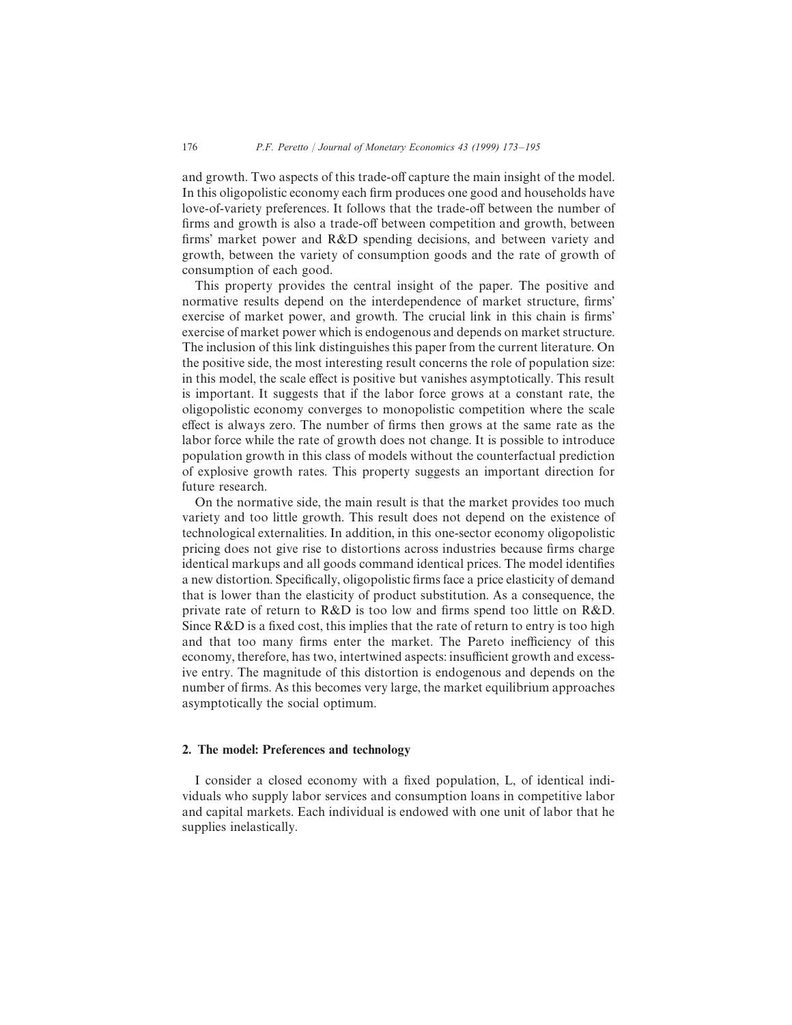and growth. Two aspects of this trade-off capture the main insight of the model. In this oligopolistic economy each firm produces one good and households have love-of-variety preferences. It follows that the trade-off between the number of firms and growth is also a trade-off between competition and growth, between firms' market power and R&D spending decisions, and between variety and growth, between the variety of consumption goods and the rate of growth of consumption of each good.

This property provides the central insight of the paper. The positive and normative results depend on the interdependence of market structure, firms' exercise of market power, and growth. The crucial link in this chain is firms' exercise of market power which is endogenous and depends on market structure. The inclusion of this link distinguishes this paper from the current literature. On the positive side, the most interesting result concerns the role of population size: in this model, the scale effect is positive but vanishes asymptotically. This result is important. It suggests that if the labor force grows at a constant rate, the oligopolistic economy converges to monopolistic competition where the scale effect is always zero. The number of firms then grows at the same rate as the labor force while the rate of growth does not change. It is possible to introduce population growth in this class of models without the counterfactual prediction of explosive growth rates. This property suggests an important direction for future research.

On the normative side, the main result is that the market provides too much variety and too little growth. This result does not depend on the existence of technological externalities. In addition, in this one-sector economy oligopolistic pricing does not give rise to distortions across industries because firms charge identical markups and all goods command identical prices. The model identifies a new distortion. Specifically, oligopolistic firms face a price elasticity of demand that is lower than the elasticity of product substitution. As a consequence, the private rate of return to R&D is too low and firms spend too little on R&D. Since R&D is a fixed cost, this implies that the rate of return to entry is too high and that too many firms enter the market. The Pareto inefficiency of this economy, therefore, has two, intertwined aspects: insufficient growth and excessive entry. The magnitude of this distortion is endogenous and depends on the number of firms. As this becomes very large, the market equilibrium approaches asymptotically the social optimum.

## 2. The model: Preferences and technology

I consider a closed economy with a fixed population, L, of identical individuals who supply labor services and consumption loans in competitive labor and capital markets. Each individual is endowed with one unit of labor that he supplies inelastically.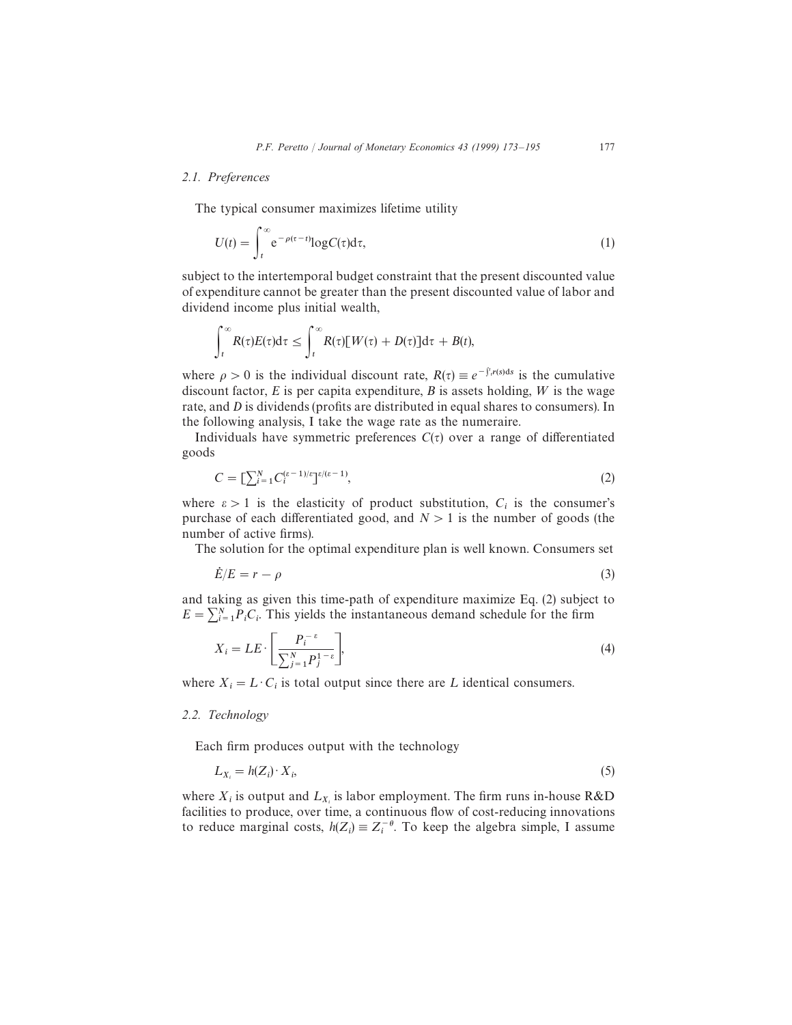#### *2.1. Preferences*

The typical consumer maximizes lifetime utility

$$
U(t) = \int_{t}^{\infty} e^{-\rho(\tau - t)} \log C(\tau) d\tau,
$$
\n(1)

subject to the intertemporal budget constraint that the present discounted value of expenditure cannot be greater than the present discounted value of labor and dividend income plus initial wealth,

$$
\int_t^{\infty} R(\tau)E(\tau)d\tau \leq \int_t^{\infty} R(\tau)[W(\tau)+D(\tau)]d\tau + B(t),
$$

where  $\rho > 0$  is the individual discount rate,  $R(\tau) \equiv e^{-\int_{\tau}^{\tau} r(s) ds}$  is the cumulative discount factor,  $E$  is per capita expenditure,  $B$  is assets holding,  $W$  is the wage rate, and D is dividends (profits are distributed in equal shares to consumers). In the following analysis, I take the wage rate as the numeraire.

Individuals have symmetric preferences  $C(\tau)$  over a range of differentiated goods

$$
C = \left[\sum_{i=1}^{N} C_i^{(\varepsilon - 1)/\varepsilon}\right]^{e/(\varepsilon - 1)},\tag{2}
$$

where  $\varepsilon > 1$  is the elasticity of product substitution,  $C_i$  is the consumer's purchase of each differentiated good, and  $N > 1$  is the number of goods (the number of active firms).

The solution for the optimal expenditure plan is well known. Consumers set

$$
\dot{E}/E = r - \rho \tag{3}
$$

and taking as given this time-path of expenditure maximize Eq. (2) subject to  $E = \sum_{i=1}^{N} P_i C_i$ . This yields the instantaneous demand schedule for the firm

$$
X_i = LE \cdot \left[ \frac{P_i^{-\varepsilon}}{\sum_{j=1}^N P_j^{1-\varepsilon}} \right],\tag{4}
$$

where  $X_i = L \cdot C_i$  is total output since there are L identical consumers.

#### *2.2. Technology*

Each firm produces output with the technology

$$
L_{X_i} = h(Z_i) \cdot X_i,\tag{5}
$$

where  $X_i$  is output and  $L_{X_i}$  is labor employment. The firm runs in-house R&D facilities to produce, over time, a continuous flow of cost-reducing innovations to reduce marginal costs,  $h(Z_i) \equiv Z_i^{-\theta}$ . To keep the algebra simple, I assume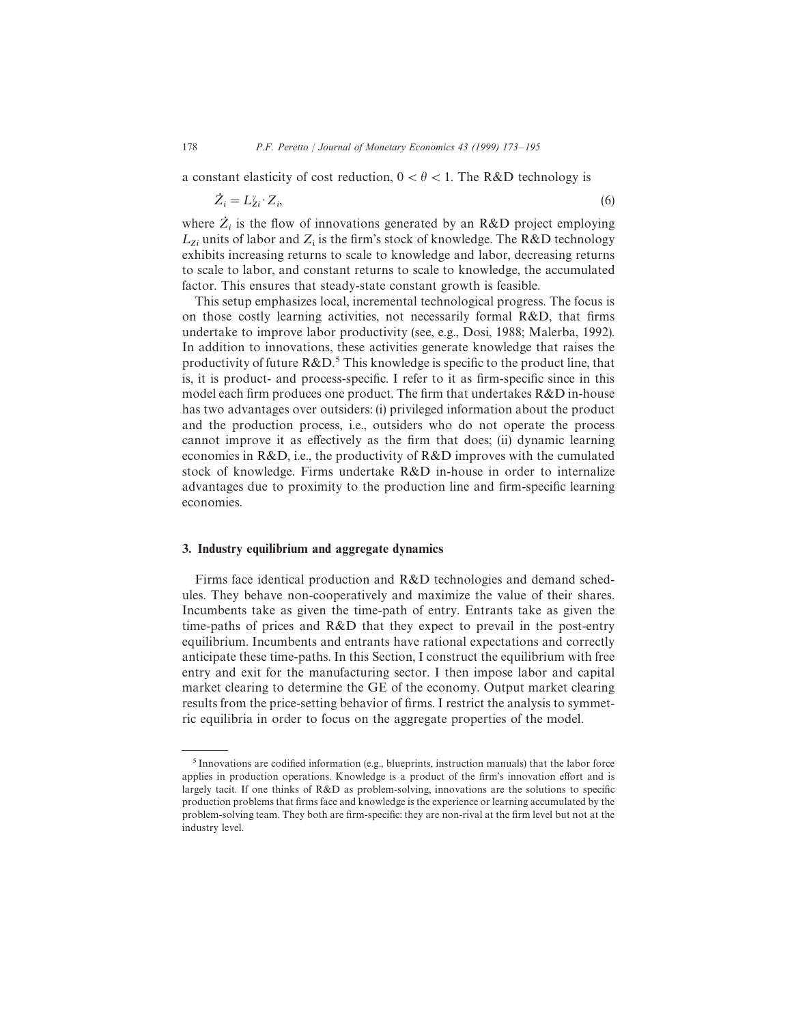a constant elasticity of cost reduction,  $0 < \theta < 1$ . The R&D technology is

$$
\dot{Z}_i = L_{Z_i}^{\nu} \cdot Z_i, \tag{6}
$$

where  $Z_i$  is the flow of innovations generated by an R&D project employing  $L_{Z_i}$  units of labor and  $Z_i$  is the firm's stock of knowledge. The R&D technology exhibits increasing returns to scale to knowledge and labor, decreasing returns to scale to labor, and constant returns to scale to knowledge, the accumulated factor. This ensures that steady-state constant growth is feasible.

This setup emphasizes local, incremental technological progress. The focus is on those costly learning activities, not necessarily formal R&D, that firms undertake to improve labor productivity (see, e.g., Dosi, 1988; Malerba, 1992). In addition to innovations, these activities generate knowledge that raises the productivity of future  $R\&D^5$ . This knowledge is specific to the product line, that is, it is product- and process-specific. I refer to it as firm-specific since in this model each firm produces one product. The firm that undertakes R&D in-house has two advantages over outsiders: (i) privileged information about the product and the production process, i.e., outsiders who do not operate the process cannot improve it as effectively as the firm that does; (ii) dynamic learning economies in R&D, i.e., the productivity of R&D improves with the cumulated stock of knowledge. Firms undertake  $R\&D$  in-house in order to internalize advantages due to proximity to the production line and firm-specific learning economies.

#### 3. Industry equilibrium and aggregate dynamics

Firms face identical production and R&D technologies and demand schedules. They behave non-cooperatively and maximize the value of their shares. Incumbents take as given the time-path of entry. Entrants take as given the time-paths of prices and R&D that they expect to prevail in the post-entry equilibrium. Incumbents and entrants have rational expectations and correctly anticipate these time-paths. In this Section, I construct the equilibrium with free entry and exit for the manufacturing sector. I then impose labor and capital market clearing to determine the GE of the economy. Output market clearing results from the price-setting behavior of firms. I restrict the analysis to symmetric equilibria in order to focus on the aggregate properties of the model.

<sup>&</sup>lt;sup>5</sup> Innovations are codified information (e.g., blueprints, instruction manuals) that the labor force applies in production operations. Knowledge is a product of the firm's innovation effort and is largely tacit. If one thinks of R&D as problem-solving, innovations are the solutions to specific production problems that firms face and knowledge is the experience or learning accumulated by the problem-solving team. They both are firm-specific: they are non-rival at the firm level but not at the industry level.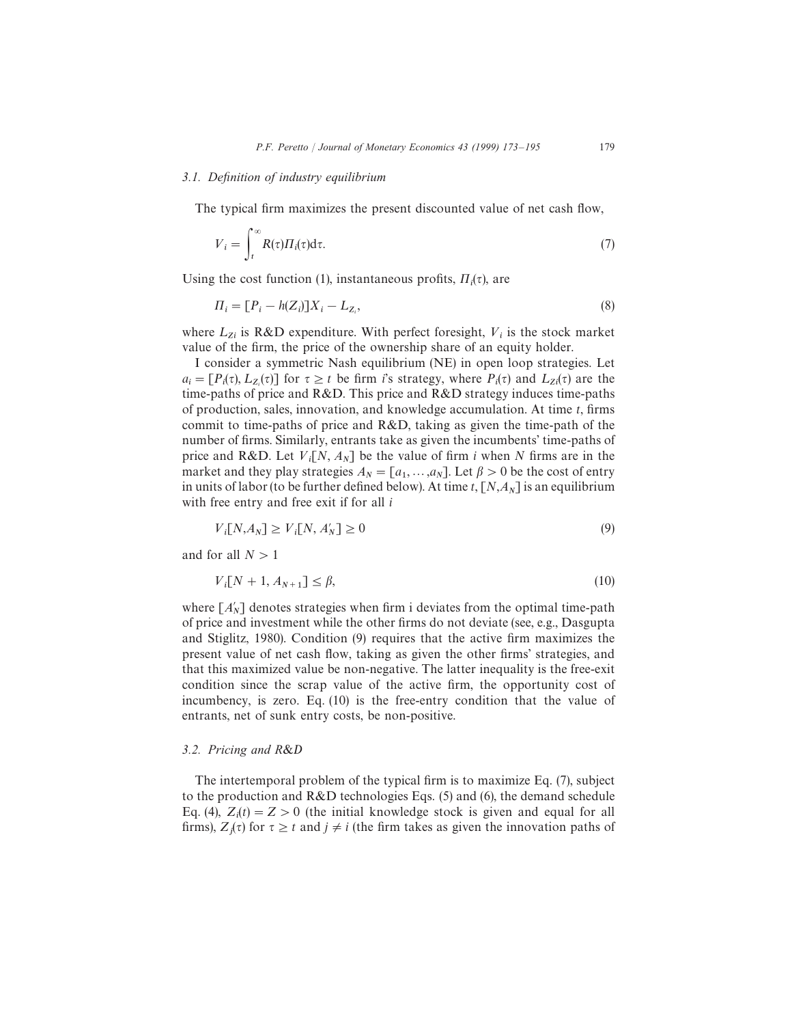#### *3.1. De*fi*nition of industry equilibrium*

The typical firm maximizes the present discounted value of net cash flow,

$$
V_i = \int_t^\infty R(\tau) \Pi_i(\tau) d\tau.
$$
 (7)

Using the cost function (1), instantaneous profits,  $\Pi_i(\tau)$ , are

$$
\Pi_i = [P_i - h(Z_i)]X_i - L_{Z_i},\tag{8}
$$

where  $L_{Z_i}$  is R&D expenditure. With perfect foresight,  $V_i$  is the stock market value of the firm, the price of the ownership share of an equity holder.

I consider a symmetric Nash equilibrium (NE) in open loop strategies. Let  $a_i = [P_i(\tau), L_{Z_i}(\tau)]$  for  $\tau \ge t$  be firm i's strategy, where  $P_i(\tau)$  and  $L_{Z_i}(\tau)$  are the time-paths of price and R&D. This price and R&D strategy induces time-paths of production, sales, innovation, and knowledge accumulation. At time  $t$ , firms commit to time-paths of price and R&D, taking as given the time-path of the number of firms. Similarly, entrants take as given the incumbents' time-paths of price and R&D. Let  $V_i[N, A_N]$  be the value of firm i when N firms are in the market and they play strategies  $A_N = [a_1, ..., a_N]$ . Let  $\beta > 0$  be the cost of entry in units of labor (to be further defined below). At time  $t$ ,  $[N, A_N]$  is an equilibrium with free entry and free exit if for all  $i$ 

$$
V_i[N, A_N] \ge V_i[N, A'_N] \ge 0
$$
\n<sup>(9)</sup>

and for all  $N>1$ 

$$
V_i[N+1, A_{N+1}] \le \beta,\tag{10}
$$

where  $[A'_N]$  denotes strategies when firm i deviates from the optimal time-path of price and investment while the other firms do not deviate (see, e.g., Dasgupta and Stiglitz, 1980). Condition (9) requires that the active firm maximizes the present value of net cash flow, taking as given the other firms' strategies, and that this maximized value be non-negative. The latter inequality is the free-exit condition since the scrap value of the active firm, the opportunity cost of incumbency, is zero. Eq. (10) is the free-entry condition that the value of entrants, net of sunk entry costs, be non-positive.

#### *3.2. Pricing and R*&D

The intertemporal problem of the typical firm is to maximize Eq. (7), subject to the production and R&D technologies Eqs. (5) and (6), the demand schedule Eq. (4),  $Z_i(t) = Z > 0$  (the initial knowledge stock is given and equal for all firms),  $Z_j(\tau)$  for  $\tau \geq t$  and  $j \neq i$  (the firm takes as given the innovation paths of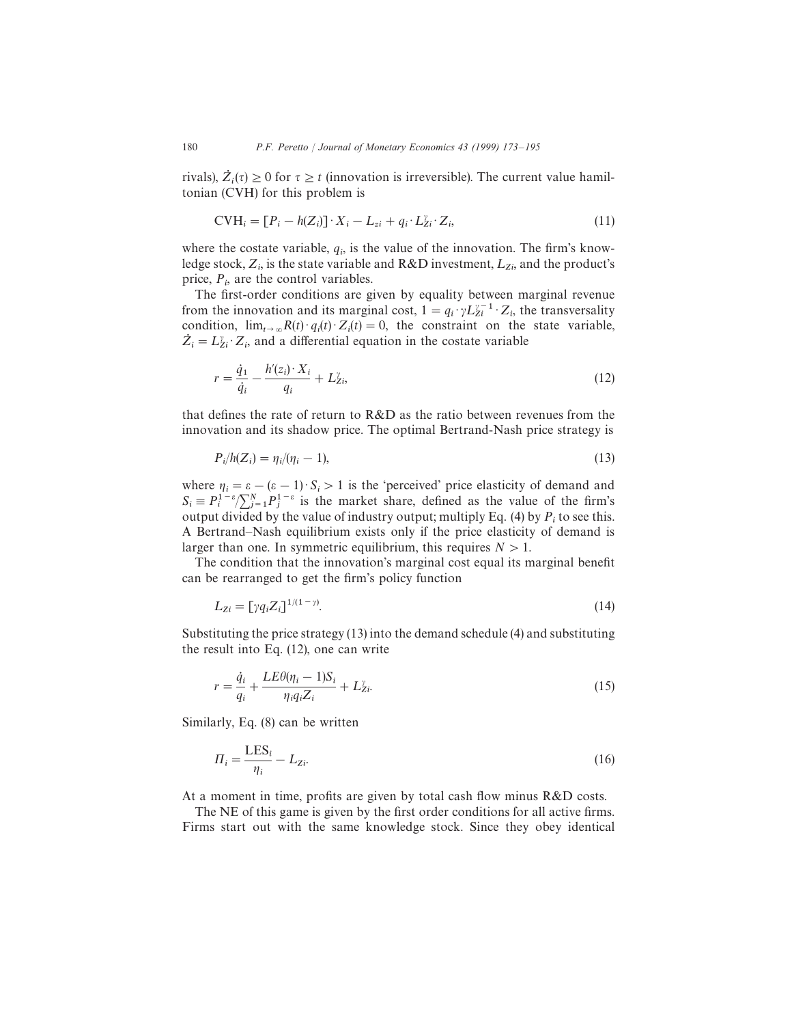rivals),  $Z_i(\tau) \ge 0$  for  $\tau \ge t$  (innovation is irreversible). The current value hamiltonian (CVH) for this problem is

$$
CVI_i = [P_i - h(Z_i)] \cdot X_i - L_{zi} + q_i \cdot L_{zi}^{\nu} \cdot Z_i, \qquad (11)
$$

where the costate variable,  $q_i$ , is the value of the innovation. The firm's knowledge stock,  $Z_i$ , is the state variable and R&D investment,  $L_{Z_i}$ , and the product's price,  $P_i$ , are the control variables.

 The first-order conditions are given by equality between marginal revenue from the innovation and its marginal cost,  $1 = q_i \cdot \gamma L_{zi}^{\gamma - 1} \cdot Z_i$ , the transversality condition,  $\lim_{t\to\infty} R(t) \cdot q_i(t) \cdot Z_i(t) = 0$ , the constraint on the state variable,  $\dot{Z}_i = L_{Z_i}^{\gamma} \cdot Z_i$ , and a differential equation in the costate variable

$$
r = \frac{\dot{q}_1}{\dot{q}_i} - \frac{h'(z_i) \cdot X_i}{q_i} + L_{Z_i}^{\gamma},\tag{12}
$$

that defines the rate of return to R&D as the ratio between revenues from the innovation and its shadow price. The optimal Bertrand-Nash price strategy is

$$
P_i/h(Z_i) = \eta_i/(\eta_i - 1),\tag{13}
$$

where  $\eta_i = \varepsilon - (\varepsilon - 1) \cdot S_i > 1$  is the 'perceived' price elasticity of demand and  $S_i \equiv P_i^{1-\epsilon} / \sum_{j=1}^{N} P_j^{1-\epsilon}$  is the market share, defined as the value of the firm's output divided by the value of industry output; multiply Eq. (4) by  $P_i$  to see this. A Bertrand—Nash equilibrium exists only if the price elasticity of demand is larger than one. In symmetric equilibrium, this requires  $N > 1$ .

The condition that the innovation's marginal cost equal its marginal benefit can be rearranged to get the firm's policy function

$$
L_{Zi} = \left[\gamma q_i Z_i\right]^{1/(1-\gamma)}.\tag{14}
$$

Substituting the price strategy (13) into the demand schedule (4) and substituting the result into Eq. (12), one can write

$$
r = \frac{\dot{q}_i}{q_i} + \frac{LE\theta(\eta_i - 1)S_i}{\eta_i q_i Z_i} + L_{Zi}^{\gamma}.
$$
\n(15)

Similarly, Eq. (8) can be written

$$
\Pi_i = \frac{\text{LES}_i}{\eta_i} - L_{\text{Z}i}.\tag{16}
$$

At a moment in time, profits are given by total cash flow minus R&D costs.

The NE of this game is given by the first order conditions for all active firms. Firms start out with the same knowledge stock. Since they obey identical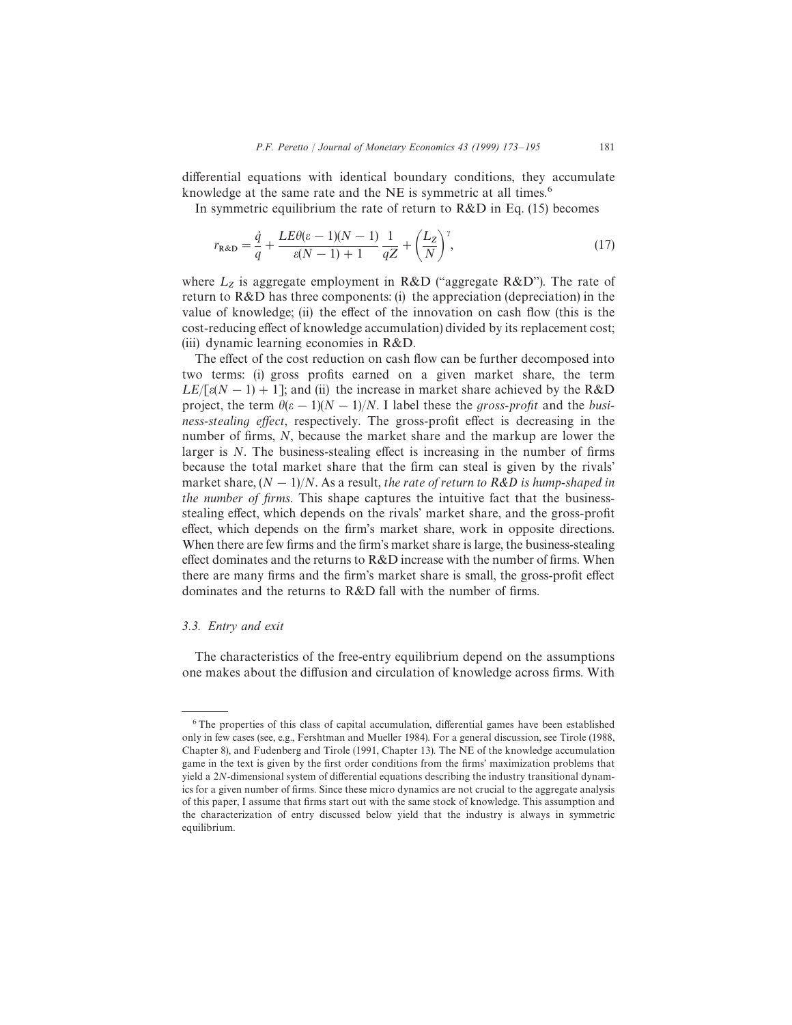differential equations with identical boundary conditions, they accumulate knowledge at the same rate and the NE is symmetric at all times.<sup>6</sup>

In symmetric equilibrium the rate of return to  $R&D$  in Eq. (15) becomes

$$
r_{\text{R\&D}} = \frac{\dot{q}}{q} + \frac{LE\theta(\varepsilon - 1)(N - 1)}{\varepsilon(N - 1) + 1} \frac{1}{qZ} + \left(\frac{L_Z}{N}\right)^{\gamma},\tag{17}
$$

where  $L_z$  is aggregate employment in R&D ("aggregate R&D"). The rate of return to  $R&D$  has three components: (i) the appreciation (depreciation) in the value of knowledge; (ii) the effect of the innovation on cash flow (this is the cost-reducing effect of knowledge accumulation) divided by its replacement cost; (iii) dynamic learning economies in R&D.

The effect of the cost reduction on cash flow can be further decomposed into two terms: (i) gross profits earned on a given market share, the term  $LE/[\varepsilon(N-1) + 1]$ ; and (ii) the increase in market share achieved by the R&D project, the term  $\theta(\varepsilon-1)(N-1)/N$ . I label these the gross-profit and the business-stealing effect, respectively. The gross-profit effect is decreasing in the number of firms, N, because the market share and the markup are lower the larger is N. The business-stealing effect is increasing in the number of firms because the total market share that the firm can steal is given by the rivals' market share,  $(N-1)/N$ . As a result, the rate of return to R&D is hump-shaped in the number of firms. This shape captures the intuitive fact that the businessstealing effect, which depends on the rivals' market share, and the gross-profit effect, which depends on the firm's market share, work in opposite directions. When there are few firms and the firm's market share is large, the business-stealing effect dominates and the returns to R&D increase with the number of firms. When there are many firms and the firm's market share is small, the gross-profit effect dominates and the returns to R&D fall with the number of firms.

## *3.3. Entry and exit*

The characteristics of the free-entry equilibrium depend on the assumptions one makes about the diffusion and circulation of knowledge across firms. With

<sup>&</sup>lt;sup>6</sup>The properties of this class of capital accumulation, differential games have been established only in few cases (see, e.g., Fershtman and Mueller 1984). For a general discussion, see Tirole (1988, Chapter 8), and Fudenberg and Tirole (1991, Chapter 13). The NE of the knowledge accumulation game in the text is given by the first order conditions from the firms' maximization problems that yield a 2N-dimensional system of differential equations describing the industry transitional dynamics for a given number of firms. Since these micro dynamics are not crucial to the aggregate analysis of this paper, I assume that firms start out with the same stock of knowledge. This assumption and the characterization of entry discussed below yield that the industry is always in symmetric equilibrium.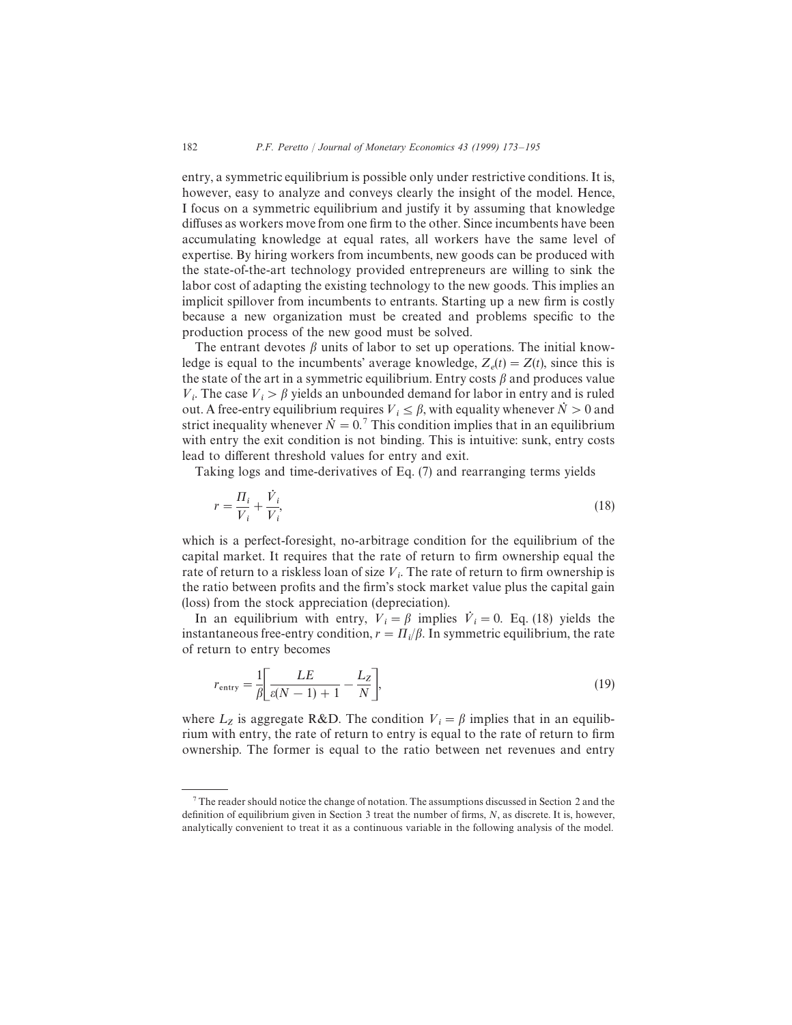entry, a symmetric equilibrium is possible only under restrictive conditions. It is, however, easy to analyze and conveys clearly the insight of the model. Hence, I focus on a symmetric equilibrium and justify it by assuming that knowledge diffuses as workers move from one firm to the other. Since incumbents have been accumulating knowledge at equal rates, all workers have the same level of expertise. By hiring workers from incumbents, new goods can be produced with the state-of-the-art technology provided entrepreneurs are willing to sink the labor cost of adapting the existing technology to the new goods. This implies an implicit spillover from incumbents to entrants. Starting up a new firm is costly because a new organization must be created and problems specific to the production process of the new good must be solved.

The entrant devotes  $\beta$  units of labor to set up operations. The initial knowledge is equal to the incumbents' average knowledge,  $Z_e(t) = Z(t)$ , since this is the state of the art in a symmetric equilibrium. Entry costs  $\beta$  and produces value  $V_i$ . The case  $V_i > \beta$  yields an unbounded demand for labor in entry and is ruled out. A free-entry equilibrium requires  $V_i \leq \beta$ , with equality whenever  $N>0$  and strict inequality whenever  $\dot{N}=0$ . This condition implies that in an equilibrium with entry the exit condition is not binding. This is intuitive: sunk, entry costs lead to different threshold values for entry and exit.

Taking logs and time-derivatives of Eq. (7) and rearranging terms yields

$$
r = \frac{\Pi_i}{V_i} + \frac{\dot{V}_i}{V_i},\tag{18}
$$

which is a perfect-foresight, no-arbitrage condition for the equilibrium of the capital market. It requires that the rate of return to firm ownership equal the rate of return to a riskless loan of size  $V_i$ . The rate of return to firm ownership is the ratio between profits and the firm's stock market value plus the capital gain (loss) from the stock appreciation (depreciation).

In an equilibrium with entry,  $V_i = \beta$  implies  $\dot{V}_i = 0$ . Eq. (18) yields the instantaneous free-entry condition,  $r = \frac{\prod_i}{\beta}$ . In symmetric equilibrium, the rate of return to entry becomes

$$
r_{\text{entry}} = \frac{1}{\beta} \left[ \frac{LE}{\varepsilon (N-1) + 1} - \frac{L_Z}{N} \right],\tag{19}
$$

where  $L_z$  is aggregate R&D. The condition  $V_i = \beta$  implies that in an equilibrium with entry, the rate of return to entry is equal to the rate of return to firm ownership. The former is equal to the ratio between net revenues and entry

 $\frac{7}{1}$  The reader should notice the change of notation. The assumptions discussed in Section 2 and the definition of equilibrium given in Section 3 treat the number of firms, N, as discrete. It is, however, analytically convenient to treat it as a continuous variable in the following analysis of the model.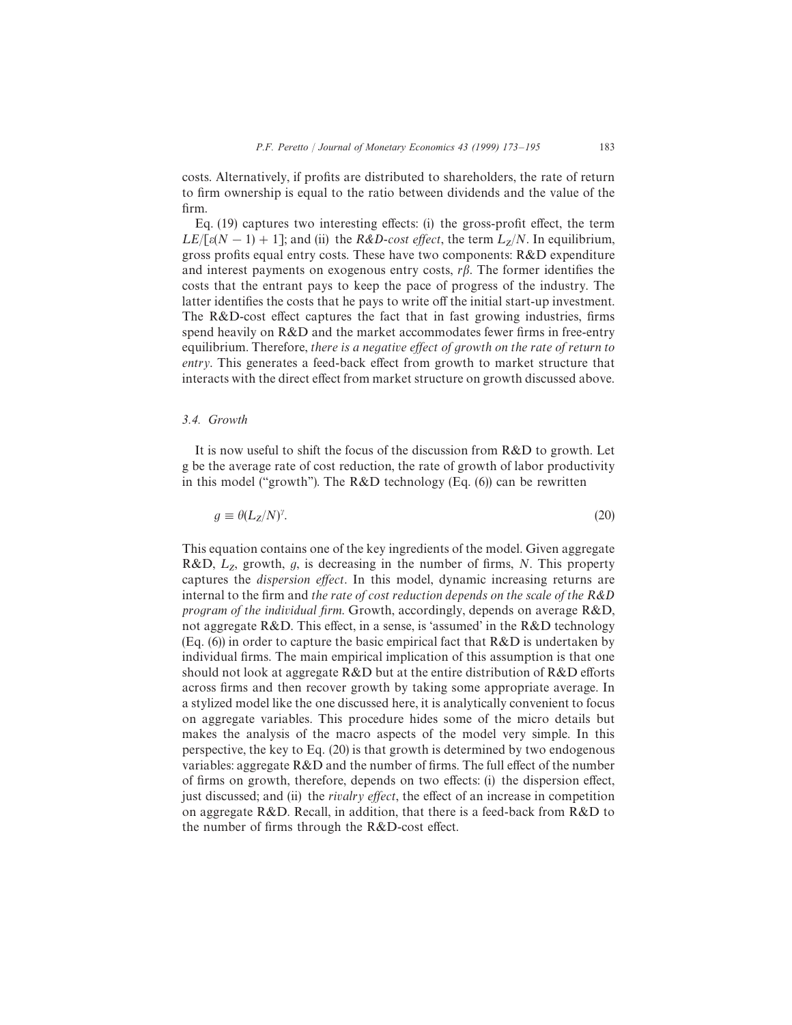costs. Alternatively, if profits are distributed to shareholders, the rate of return to firm ownership is equal to the ratio between dividends and the value of the firm.

Eq. (19) captures two interesting effects: (i) the gross-profit effect, the term  $LE/[\varepsilon(N-1) + 1]$ ; and (ii) the R&D-cost effect, the term  $L_z/N$ . In equilibrium, gross profits equal entry costs. These have two components:  $R&D$  expenditure and interest payments on exogenous entry costs,  $r\beta$ . The former identifies the costs that the entrant pays to keep the pace of progress of the industry. The latter identifies the costs that he pays to write off the initial start-up investment. The R&D-cost effect captures the fact that in fast growing industries, firms spend heavily on R&D and the market accommodates fewer firms in free-entry equilibrium. Therefore, there is a negative effect of growth on the rate of return to entry. This generates a feed-back effect from growth to market structure that interacts with the direct effect from market structure on growth discussed above.

## *3.4. Growth*

It is now useful to shift the focus of the discussion from R&D to growth. Let g be the average rate of cost reduction, the rate of growth of labor productivity in this model ("growth"). The  $R&D$  technology (Eq. (6)) can be rewritten

$$
g \equiv \theta(L_Z/N)^{\gamma}.
$$
 (20)

This equation contains one of the key ingredients of the model. Given aggregate R&D,  $L_z$ , growth, g, is decreasing in the number of firms, N. This property captures the *dispersion effect*. In this model, dynamic increasing returns are internal to the firm and the rate of cost reduction depends on the scale of the R&D program of the individual firm. Growth, accordingly, depends on average R&D, not aggregate R&D. This effect, in a sense, is 'assumed' in the R&D technology (Eq.  $(6)$ ) in order to capture the basic empirical fact that  $R&D$  is undertaken by individual firms. The main empirical implication of this assumption is that one should not look at aggregate  $R\&D$  but at the entire distribution of  $R\&D$  efforts across firms and then recover growth by taking some appropriate average. In a stylized model like the one discussed here, it is analytically convenient to focus on aggregate variables. This procedure hides some of the micro details but makes the analysis of the macro aspects of the model very simple. In this perspective, the key to Eq. (20) is that growth is determined by two endogenous variables: aggregate R&D and the number of firms. The full effect of the number of firms on growth, therefore, depends on two effects: (i) the dispersion effect, just discussed; and (ii) the *rivalry effect*, the effect of an increase in competition on aggregate R&D. Recall, in addition, that there is a feed-back from R&D to the number of firms through the R&D-cost effect.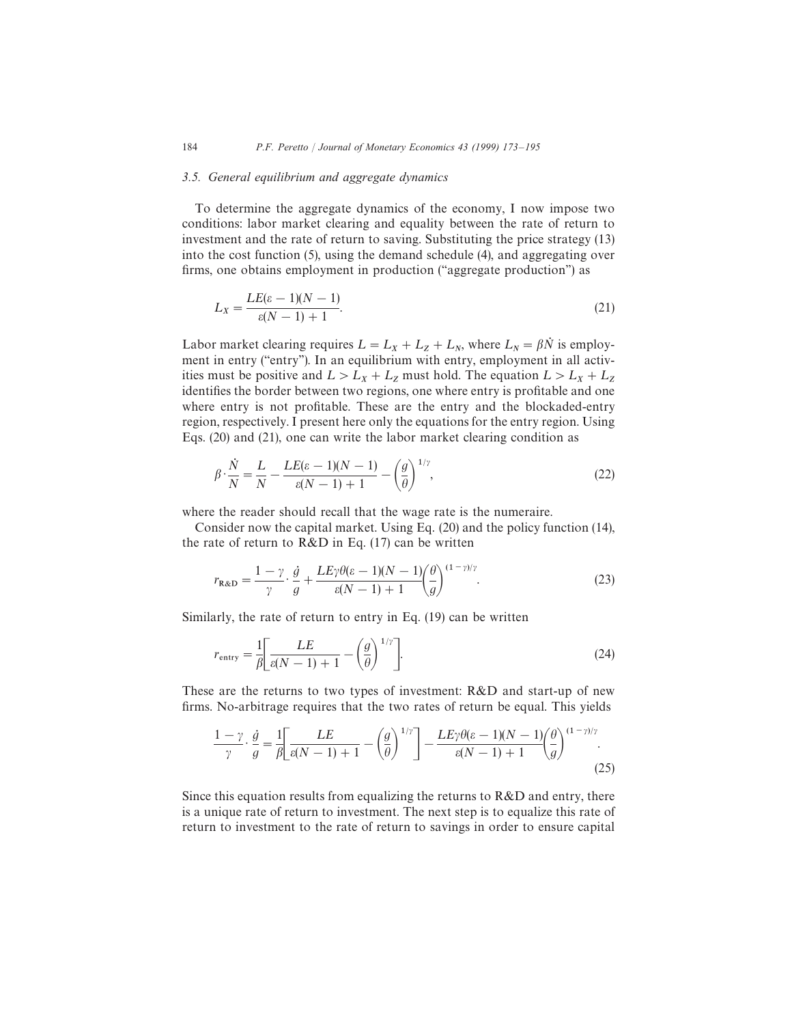#### *3.5. General equilibrium and aggregate dynamics*

To determine the aggregate dynamics of the economy, I now impose two conditions: labor market clearing and equality between the rate of return to investment and the rate of return to saving. Substituting the price strategy (13) into the cost function (5), using the demand schedule (4), and aggregating over firms, one obtains employment in production (''aggregate production'') as

$$
L_X = \frac{LE(\varepsilon - 1)(N - 1)}{\varepsilon (N - 1) + 1}.\tag{21}
$$

Labor market clearing requires  $L = L_X + L_Z + L_N$ , where  $L_N = \beta N$  is employment in entry ("entry"). In an equilibrium with entry, employment in all activities must be positive and  $L > L_X + L_Z$  must hold. The equation  $L > L_X + L_Z$  identifies the border between two regions, one where entry is profitable and one where entry is not profitable. These are the entry and the blockaded-entry region, respectively. I present here only the equations for the entry region. Using Eqs. (20) and (21), one can write the labor market clearing condition as

$$
\beta \cdot \frac{\dot{N}}{N} = \frac{L}{N} - \frac{LE(\varepsilon - 1)(N - 1)}{\varepsilon (N - 1) + 1} - \left(\frac{g}{\theta}\right)^{1/\gamma},\tag{22}
$$

where the reader should recall that the wage rate is the numeraire.

Consider now the capital market. Using Eq. (20) and the policy function (14), the rate of return to  $R&D$  in Eq. (17) can be written

$$
r_{\mathbf{R}\&\mathbf{D}} = \frac{1-\gamma}{\gamma} \cdot \frac{\dot{g}}{g} + \frac{LE\gamma\theta(\varepsilon-1)(N-1)}{\varepsilon(N-1)+1} \left(\frac{\theta}{g}\right)^{(1-\gamma)/\gamma}.\tag{23}
$$

Similarly, the rate of return to entry in Eq. (19) can be written

$$
r_{\text{entry}} = \frac{1}{\beta} \left[ \frac{LE}{\varepsilon (N-1) + 1} - \left( \frac{g}{\theta} \right)^{1/\gamma} \right].
$$
 (24)

These are the returns to two types of investment: R&D and start-up of new firms. No-arbitrage requires that the two rates of return be equal. This yields

$$
\frac{1-\gamma}{\gamma} \cdot \frac{\dot{g}}{g} = \frac{1}{\beta} \left[ \frac{LE}{\varepsilon(N-1)+1} - \left(\frac{g}{\theta}\right)^{1/\gamma} \right] - \frac{LE\gamma\theta(\varepsilon-1)(N-1)}{\varepsilon(N-1)+1} \left(\frac{\theta}{g}\right)^{(1-\gamma)/\gamma}.
$$
\n(25)

Since this equation results from equalizing the returns to  $R&D$  and entry, there is a unique rate of return to investment. The next step is to equalize this rate of return to investment to the rate of return to savings in order to ensure capital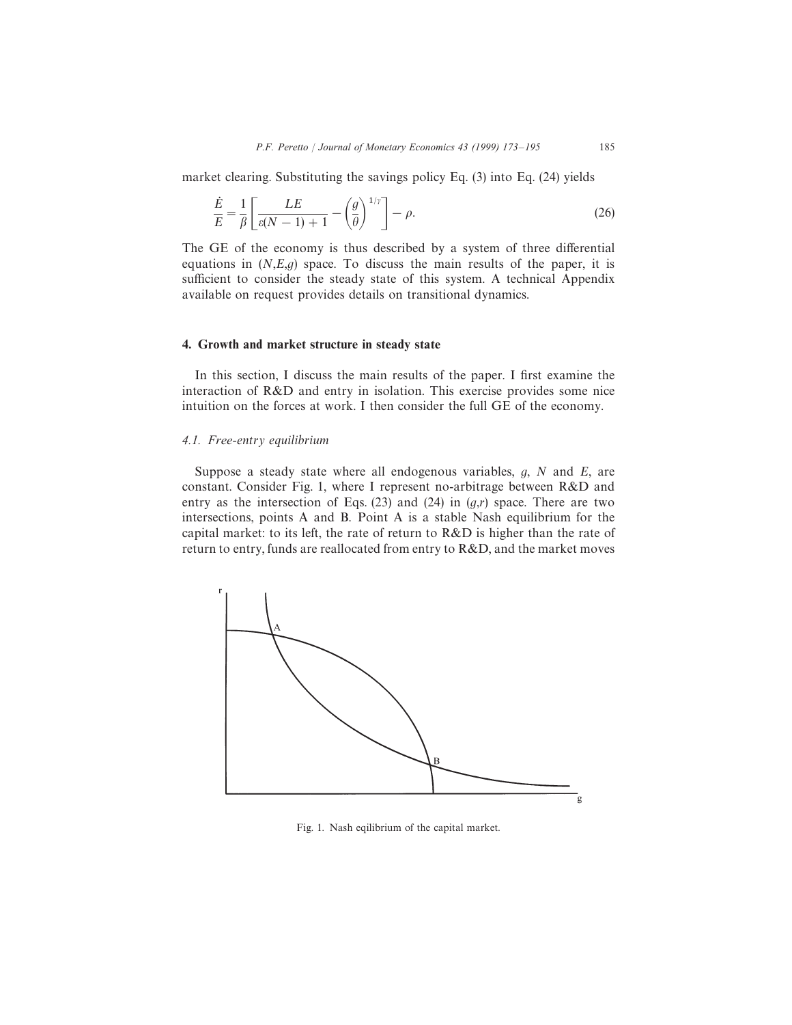market clearing. Substituting the savings policy Eq. (3) into Eq. (24) yields

$$
\frac{\dot{E}}{E} = \frac{1}{\beta} \left[ \frac{LE}{\varepsilon(N-1) + 1} - \left( \frac{g}{\theta} \right)^{1/\gamma} \right] - \rho.
$$
\n(26)

The GE of the economy is thus described by a system of three differential equations in  $(N, E, g)$  space. To discuss the main results of the paper, it is sufficient to consider the steady state of this system. A technical Appendix available on request provides details on transitional dynamics.

#### 4. Growth and market structure in steady state

In this section, I discuss the main results of the paper. I first examine the interaction of R&D and entry in isolation. This exercise provides some nice intuition on the forces at work. I then consider the full GE of the economy.

## *4.1. Free-*entry equilibrium

Suppose a steady state where all endogenous variables,  $g$ ,  $N$  and  $E$ , are constant. Consider Fig. 1, where I represent no-arbitrage between R&D and entry as the intersection of Eqs. (23) and (24) in  $(g,r)$  space. There are two intersections, points A and B. Point A is a stable Nash equilibrium for the capital market: to its left, the rate of return to R&D is higher than the rate of return to entry, funds are reallocated from entry to R&D, and the market moves



Fig. 1. Nash eqilibrium of the capital market.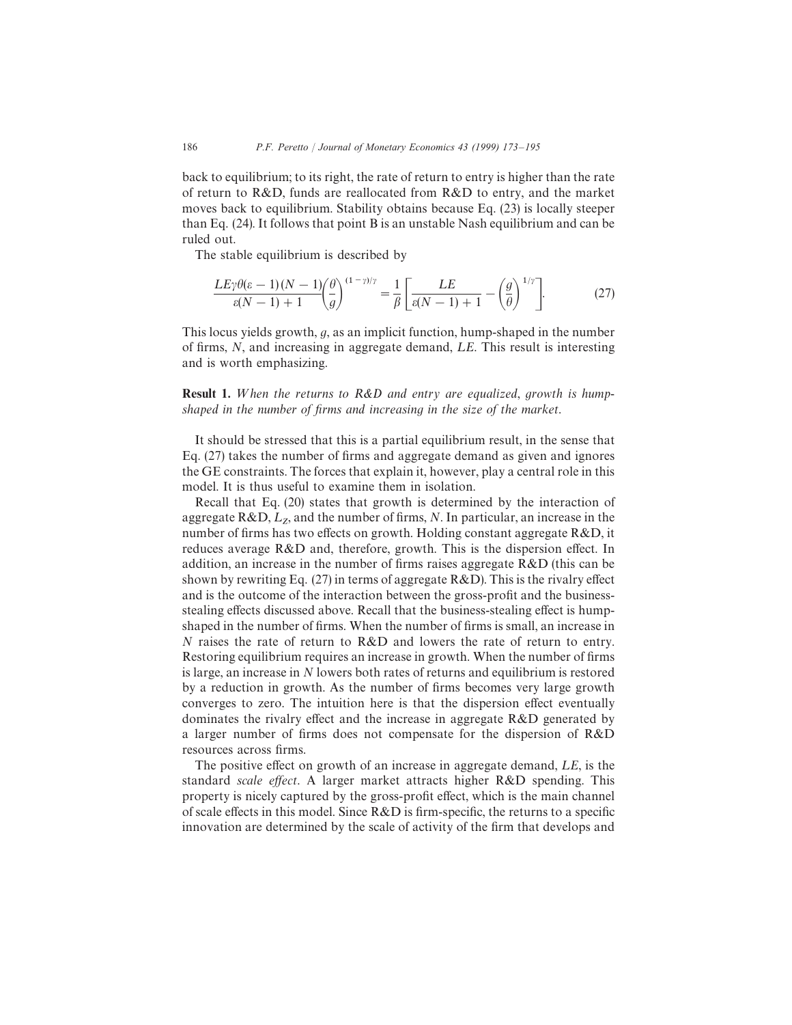back to equilibrium; to its right, the rate of return to entry is higher than the rate of return to R&D, funds are reallocated from R&D to entry, and the market moves back to equilibrium. Stability obtains because Eq. (23) is locally steeper than Eq. (24). It follows that point B is an unstable Nash equilibrium and can be ruled out.

The stable equilibrium is described by

$$
\frac{LE\gamma\theta(\varepsilon-1)(N-1)}{\varepsilon(N-1)+1}\left(\frac{\theta}{g}\right)^{(1-\gamma)/\gamma} = \frac{1}{\beta}\left[\frac{LE}{\varepsilon(N-1)+1} - \left(\frac{g}{\theta}\right)^{1/\gamma}\right].\tag{27}
$$

This locus yields growth,  $g$ , as an implicit function, hump-shaped in the number of firms,  $N$ , and increasing in aggregate demand,  $LE$ . This result is interesting and is worth emphasizing.

**Result 1.** When the returns to  $R\&D$  and entry are equalized, growth is humpshaped in the number of firms and increasing in the size of the market.

It should be stressed that this is a partial equilibrium result, in the sense that Eq. (27) takes the number of firms and aggregate demand as given and ignores the GE constraints. The forces that explain it, however, play a central role in this model. It is thus useful to examine them in isolation.

Recall that Eq. (20) states that growth is determined by the interaction of aggregate  $R&D, L_z$ , and the number of firms, N. In particular, an increase in the number of firms has two effects on growth. Holding constant aggregate  $R&D$ , it reduces average R&D and, therefore, growth. This is the dispersion effect. In addition, an increase in the number of firms raises aggregate  $R&D$  (this can be shown by rewriting Eq. (27) in terms of aggregate R&D). This is the rivalry effect and is the outcome of the interaction between the gross-profit and the businessstealing effects discussed above. Recall that the business-stealing effect is humpshaped in the number of firms. When the number of firms is small, an increase in N raises the rate of return to R&D and lowers the rate of return to entry. Restoring equilibrium requires an increase in growth. When the number of firms is large, an increase in N lowers both rates of returns and equilibrium is restored by a reduction in growth. As the number of firms becomes very large growth converges to zero. The intuition here is that the dispersion effect eventually dominates the rivalry effect and the increase in aggregate R&D generated by a larger number of firms does not compensate for the dispersion of R&D resources across firms.

The positive effect on growth of an increase in aggregate demand,  $LE$ , is the standard scale effect. A larger market attracts higher R&D spending. This property is nicely captured by the gross-profit effect, which is the main channel of scale effects in this model. Since R&D is firm-specific, the returns to a specific innovation are determined by the scale of activity of the firm that develops and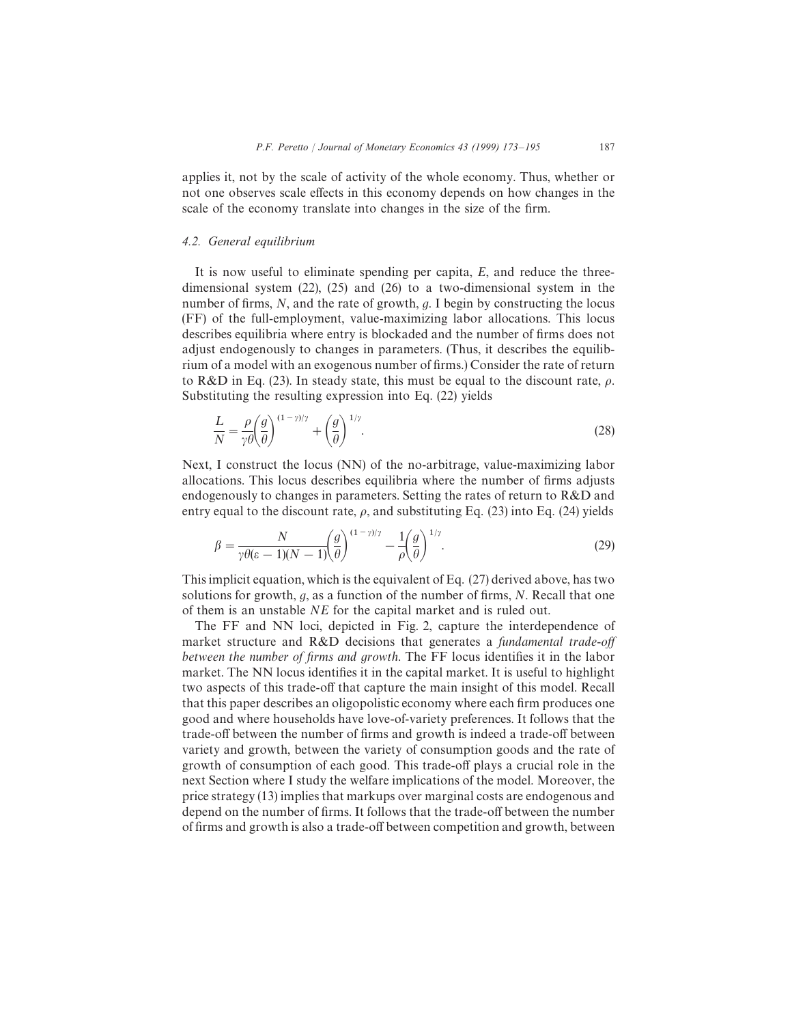applies it, not by the scale of activity of the whole economy. Thus, whether or not one observes scale effects in this economy depends on how changes in the scale of the economy translate into changes in the size of the firm.

### *4.2. General equilibrium*

It is now useful to eliminate spending per capita, E, and reduce the threedimensional system (22), (25) and (26) to a two-dimensional system in the number of firms,  $N$ , and the rate of growth,  $q$ . I begin by constructing the locus (FF) of the full-employment, value-maximizing labor allocations. This locus describes equilibria where entry is blockaded and the number of firms does not adjust endogenously to changes in parameters. (Thus, it describes the equilibrium of a model with an exogenous number of firms.) Consider the rate of return to R&D in Eq. (23). In steady state, this must be equal to the discount rate,  $\rho$ . Substituting the resulting expression into Eq. (22) yields

$$
\frac{L}{N} = \frac{\rho}{\gamma \theta} \left( \frac{g}{\theta} \right)^{(1-\gamma)/\gamma} + \left( \frac{g}{\theta} \right)^{1/\gamma}.
$$
\n(28)

Next, I construct the locus (NN) of the no-arbitrage, value-maximizing labor allocations. This locus describes equilibria where the number of firms adjusts endogenously to changes in parameters. Setting the rates of return to R&D and entry equal to the discount rate,  $\rho$ , and substituting Eq. (23) into Eq. (24) yields

$$
\beta = \frac{N}{\gamma \theta(\varepsilon - 1)(N - 1)} \left(\frac{g}{\theta}\right)^{(1 - \gamma)/\gamma} - \frac{1}{\rho} \left(\frac{g}{\theta}\right)^{1/\gamma}.
$$
\n(29)

This implicit equation, which is the equivalent of Eq. (27) derived above, has two solutions for growth,  $g$ , as a function of the number of firms,  $N$ . Recall that one of them is an unstable NE for the capital market and is ruled out.

The FF and NN loci, depicted in Fig. 2, capture the interdependence of market structure and R&D decisions that generates a fundamental trade-off between the number of firms and growth. The FF locus identifies it in the labor market. The NN locus identifies it in the capital market. It is useful to highlight two aspects of this trade-off that capture the main insight of this model. Recall that this paper describes an oligopolistic economy where each firm produces one good and where households have love-of-variety preferences. It follows that the trade-off between the number of firms and growth is indeed a trade-off between variety and growth, between the variety of consumption goods and the rate of growth of consumption of each good. This trade-off plays a crucial role in the next Section where I study the welfare implications of the model. Moreover, the price strategy (13) implies that markups over marginal costs are endogenous and depend on the number of firms. It follows that the trade-off between the number of firms and growth is also a trade-off between competition and growth, between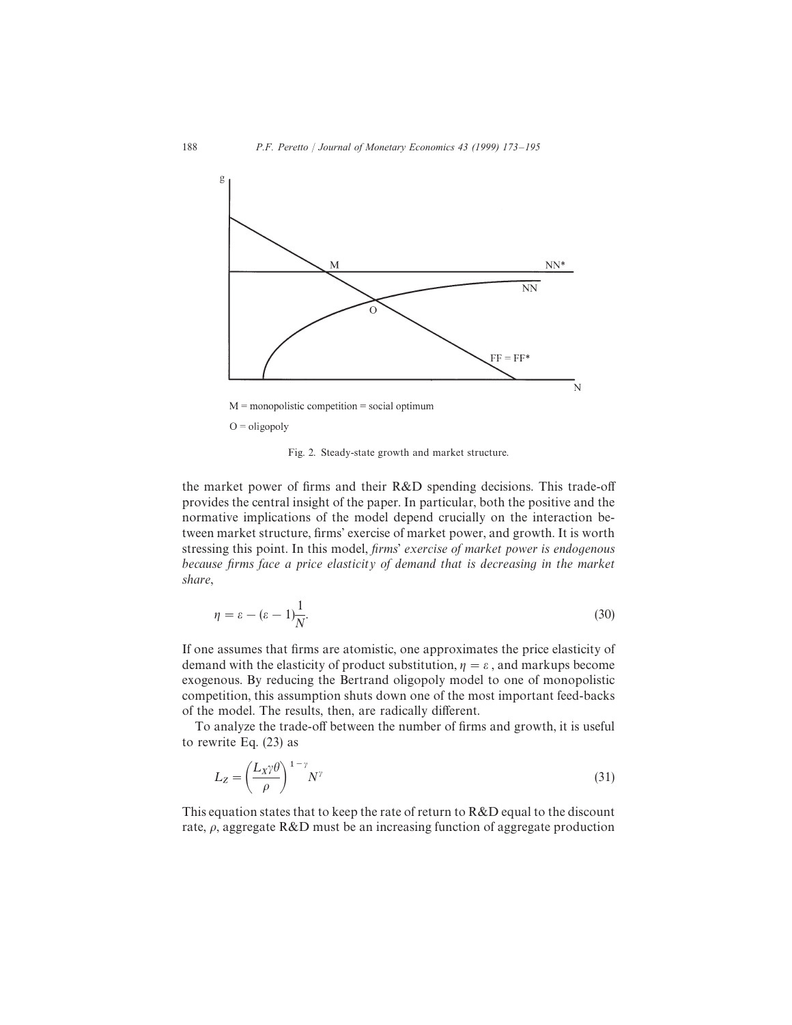

Fig. 2. Steady-state growth and market structure.

the market power of firms and their R&D spending decisions. This trade-off provides the central insight of the paper. In particular, both the positive and the normative implications of the model depend crucially on the interaction between market structure, firms' exercise of market power, and growth. It is worth stressing this point. In this model, firms' exercise of market power is endogenous because firms face a price elasticity of demand that is decreasing in the market share,

$$
\eta = \varepsilon - (\varepsilon - 1)\frac{1}{N}.\tag{30}
$$

If one assumes that firms are atomistic, one approximates the price elasticity of demand with the elasticity of product substitution,  $\eta = \varepsilon$ , and markups become exogenous. By reducing the Bertrand oligopoly model to one of monopolistic competition, this assumption shuts down one of the most important feed-backs of the model. The results, then, are radically different.

To analyze the trade-off between the number of firms and growth, it is useful to rewrite Eq. (23) as

$$
L_Z = \left(\frac{L_X \gamma \theta}{\rho}\right)^{1-\gamma} N^{\gamma}
$$
\n(31)

This equation states that to keep the rate of return to R&D equal to the discount rate,  $\rho$ , aggregate R&D must be an increasing function of aggregate production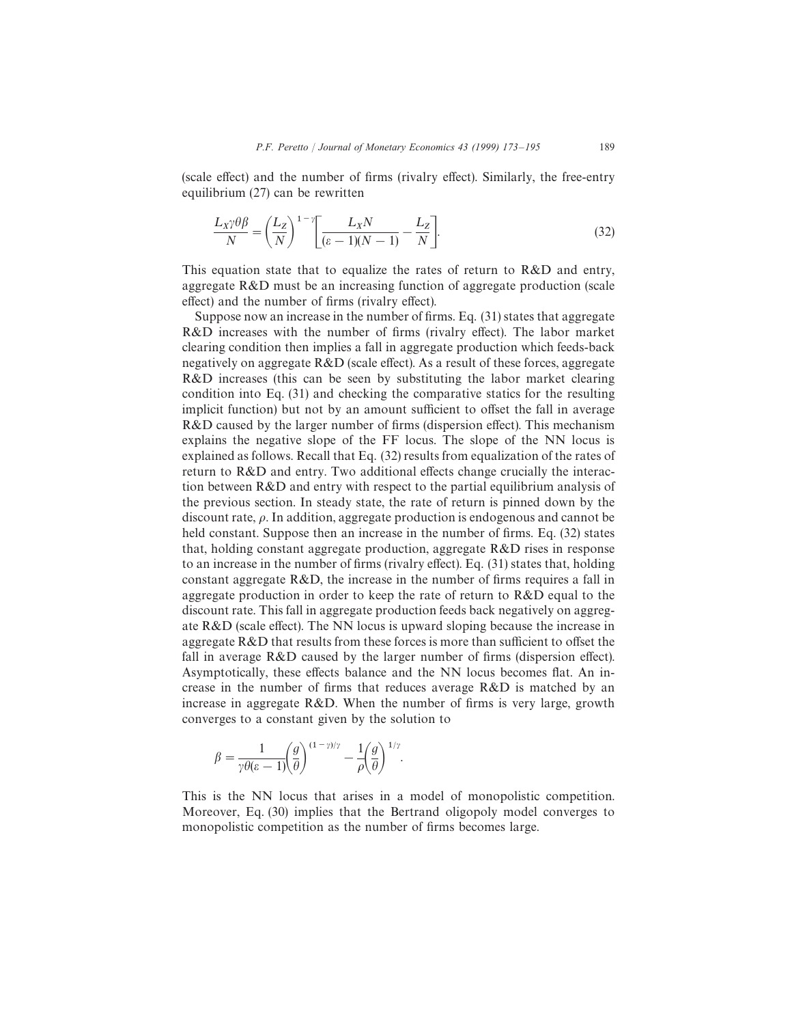(scale effect) and the number of firms (rivalry effect). Similarly, the free-entry equilibrium (27) can be rewritten

$$
\frac{L_X \gamma \theta \beta}{N} = \left(\frac{L_Z}{N}\right)^{1-\gamma} \left[ \frac{L_X N}{(\varepsilon - 1)(N - 1)} - \frac{L_Z}{N} \right].
$$
\n(32)

This equation state that to equalize the rates of return to R&D and entry, aggregate R&D must be an increasing function of aggregate production (scale effect) and the number of firms (rivalry effect).

Suppose now an increase in the number of firms. Eq. (31) states that aggregate R&D increases with the number of firms (rivalry effect). The labor market clearing condition then implies a fall in aggregate production which feeds-back negatively on aggregate R&D (scale effect). As a result of these forces, aggregate R&D increases (this can be seen by substituting the labor market clearing condition into Eq. (31) and checking the comparative statics for the resulting implicit function) but not by an amount sufficient to offset the fall in average R&D caused by the larger number of firms (dispersion effect). This mechanism explains the negative slope of the FF locus. The slope of the NN locus is explained as follows. Recall that Eq. (32) results from equalization of the rates of return to R&D and entry. Two additional effects change crucially the interaction between R&D and entry with respect to the partial equilibrium analysis of the previous section. In steady state, the rate of return is pinned down by the discount rate,  $\rho$ . In addition, aggregate production is endogenous and cannot be held constant. Suppose then an increase in the number of firms. Eq. (32) states that, holding constant aggregate production, aggregate R&D rises in response to an increase in the number of firms (rivalry effect). Eq. (31) states that, holding constant aggregate R&D, the increase in the number of firms requires a fall in aggregate production in order to keep the rate of return to R&D equal to the discount rate. This fall in aggregate production feeds back negatively on aggregate R&D (scale effect). The NN locus is upward sloping because the increase in aggregate R&D that results from these forces is more than sufficient to offset the fall in average R&D caused by the larger number of firms (dispersion effect). Asymptotically, these effects balance and the NN locus becomes flat. An increase in the number of firms that reduces average R&D is matched by an increase in aggregate R&D. When the number of firms is very large, growth converges to a constant given by the solution to

$$
\beta = \frac{1}{\gamma \theta(\varepsilon - 1)} \left(\frac{g}{\theta}\right)^{(1-\gamma)/\gamma} - \frac{1}{\rho} \left(\frac{g}{\theta}\right)^{1/\gamma}.
$$

This is the NN locus that arises in a model of monopolistic competition. Moreover, Eq. (30) implies that the Bertrand oligopoly model converges to monopolistic competition as the number of firms becomes large.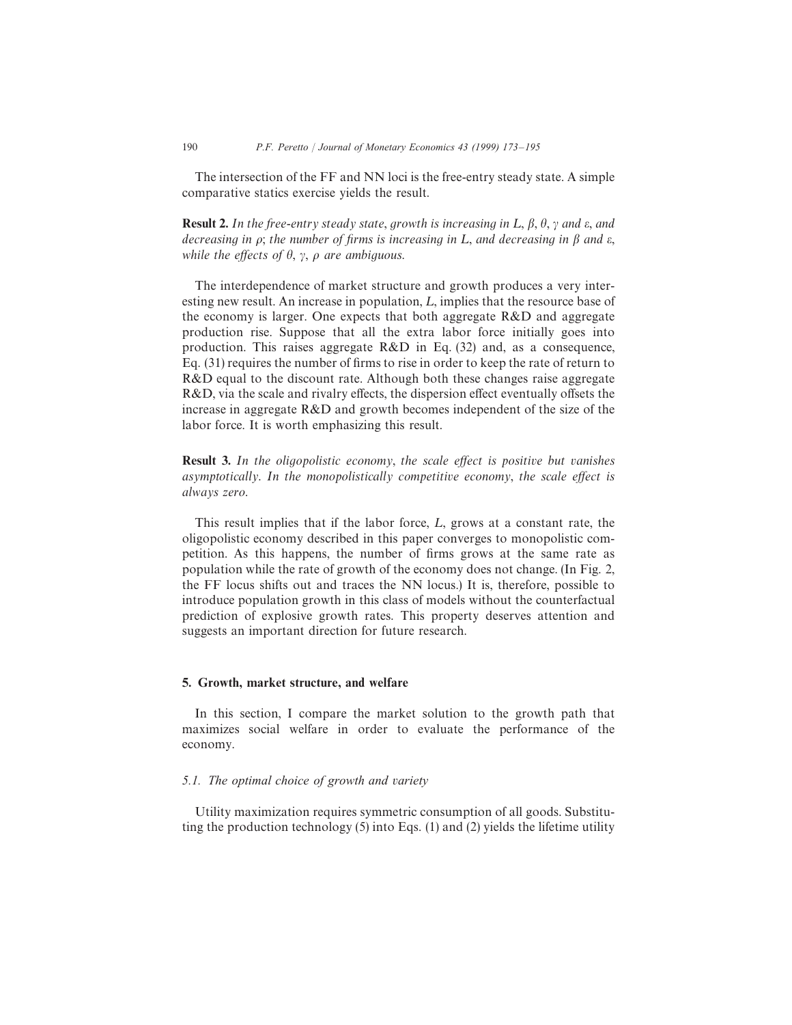The intersection of the FF and NN loci is the free-entry steady state. A simple comparative statics exercise yields the result.

**Result 2.** In the free-entry steady state, growth is increasing in L,  $\beta$ ,  $\theta$ ,  $\gamma$  and  $\varepsilon$ , and decreasing in  $\rho$ ; the number of firms is increasing in L, and decreasing in  $\beta$  and  $\varepsilon$ , while the effects of  $\theta$ ,  $\gamma$ ,  $\rho$  are ambiguous.

The interdependence of market structure and growth produces a very interesting new result. An increase in population,  $L$ , implies that the resource base of the economy is larger. One expects that both aggregate R&D and aggregate production rise. Suppose that all the extra labor force initially goes into production. This raises aggregate R&D in Eq. (32) and, as a consequence, Eq. (31) requires the number of firms to rise in order to keep the rate of return to R&D equal to the discount rate. Although both these changes raise aggregate R&D, via the scale and rivalry effects, the dispersion effect eventually offsets the increase in aggregate R&D and growth becomes independent of the size of the labor force. It is worth emphasizing this result.

**Result 3.** In the oligopolistic economy, the scale effect is positive but vanishes asymptotically. In the monopolistically competitive economy, the scale effect is always zero.

This result implies that if the labor force,  $L$ , grows at a constant rate, the oligopolistic economy described in this paper converges to monopolistic competition. As this happens, the number of firms grows at the same rate as population while the rate of growth of the economy does not change. (In Fig. 2, the FF locus shifts out and traces the NN locus.) It is, therefore, possible to introduce population growth in this class of models without the counterfactual prediction of explosive growth rates. This property deserves attention and suggests an important direction for future research.

## 5. Growth, market structure, and welfare

In this section, I compare the market solution to the growth path that maximizes social welfare in order to evaluate the performance of the economy.

#### *5.1. The optimal choice of growth and* v*ariety*

Utility maximization requires symmetric consumption of all goods. Substituting the production technology (5) into Eqs. (1) and (2) yields the lifetime utility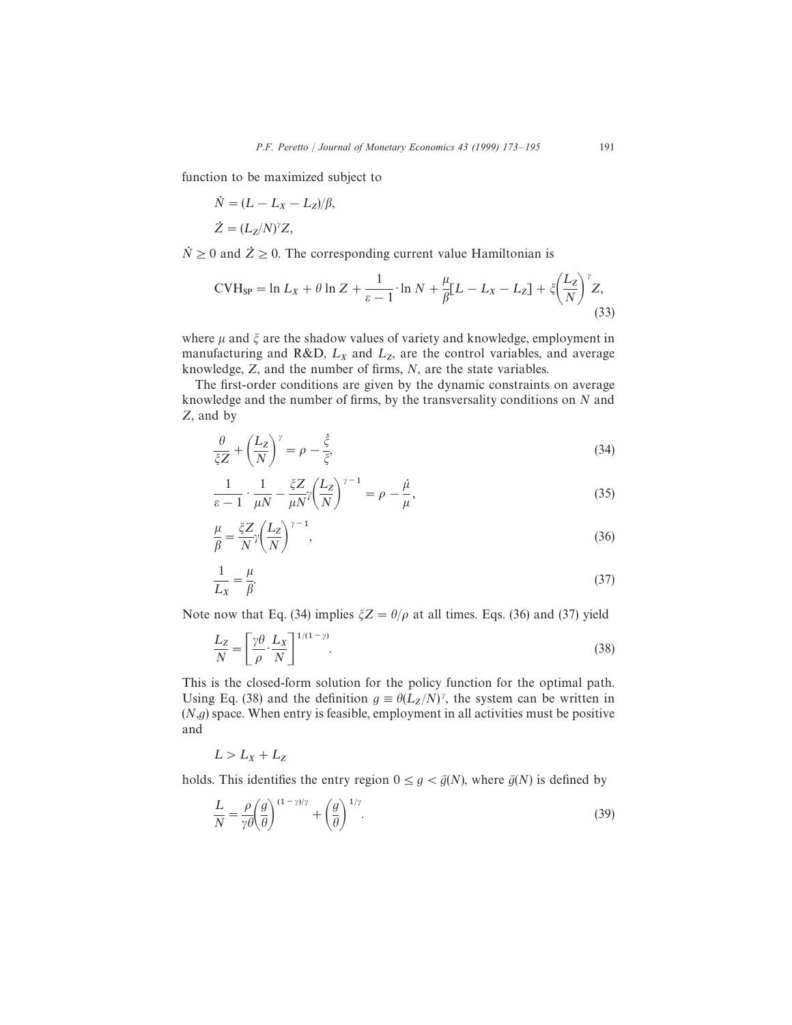function to be maximized subject to

$$
\dot{N} = (L - L_X - L_Z)/\beta,
$$
  
\n
$$
\dot{Z} = (L_Z/N)^{\gamma} Z,
$$

 $\dot{N} \ge 0$  and  $\dot{Z} \ge 0$ . The corresponding current value Hamiltonian is

$$
\text{CVH}_{\text{SP}} = \ln L_X + \theta \ln Z + \frac{1}{\varepsilon - 1} \cdot \ln N + \frac{\mu}{\beta} [L - L_X - L_Z] + \xi \left(\frac{L_Z}{N}\right)^{\gamma} Z,\tag{33}
$$

where  $\mu$  and  $\xi$  are the shadow values of variety and knowledge, employment in manufacturing and R&D,  $L_X$  and  $L_Z$ , are the control variables, and average knowledge, Z, and the number of firms, N, are the state variables.

The first-order conditions are given by the dynamic constraints on average knowledge and the number of firms, by the transversality conditions on N and Z, and by

$$
\frac{\theta}{\zeta Z} + \left(\frac{L_Z}{N}\right)^{\gamma} = \rho - \frac{\xi}{\zeta},\tag{34}
$$

$$
\frac{1}{\varepsilon - 1} \cdot \frac{1}{\mu N} - \frac{\xi Z}{\mu N} \gamma \left(\frac{L_Z}{N}\right)^{\gamma - 1} = \rho - \frac{\mu}{\mu},\tag{35}
$$

$$
\frac{\mu}{\beta} = \frac{\zeta Z}{N} \gamma \left(\frac{L_Z}{N}\right)^{\gamma - 1},\tag{36}
$$

$$
\frac{1}{L_X} = \frac{\mu}{\beta}.\tag{37}
$$

Note now that Eq. (34) implies  $\zeta Z = \theta/\rho$  at all times. Eqs. (36) and (37) yield

$$
\frac{L_Z}{N} = \left[\frac{\gamma \theta}{\rho} \cdot \frac{L_X}{N}\right]^{1/(1-\gamma)}.\tag{38}
$$

This is the closed-form solution for the policy function for the optimal path. Using Eq. (38) and the definition  $g \equiv \theta(L_Z/N)$ , the system can be written in  $(N, g)$  space. When entry is feasible, employment in all activities must be positive and

$$
L>L_X+L_Z
$$

holds. This identifies the entry region  $0 \le g \le \bar{g}(N)$ , where  $\bar{g}(N)$  is defined by

$$
\frac{L}{N} = \frac{\rho}{\gamma \theta} \left(\frac{g}{\theta}\right)^{(1-\gamma)/\gamma} + \left(\frac{g}{\theta}\right)^{1/\gamma}.
$$
\n(39)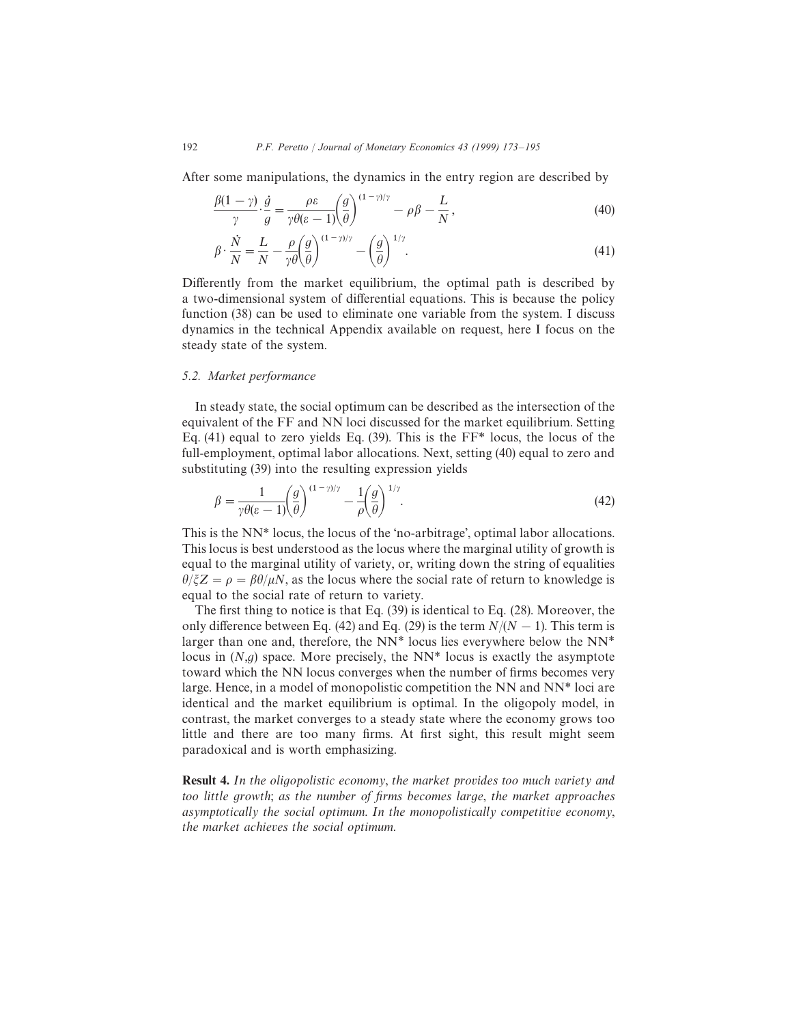After some manipulations, the dynamics in the entry region are described by

$$
\frac{\beta(1-\gamma)}{\gamma} \cdot \frac{\dot{g}}{g} = \frac{\rho \varepsilon}{\gamma \theta(\varepsilon - 1)} \left(\frac{g}{\theta}\right)^{(1-\gamma)/\gamma} - \rho \beta - \frac{L}{N},\tag{40}
$$

$$
\beta \cdot \frac{\dot{N}}{N} = \frac{L}{N} - \frac{\rho}{\gamma \theta} \left(\frac{g}{\theta}\right)^{(1-\gamma)/\gamma} - \left(\frac{g}{\theta}\right)^{1/\gamma}.
$$
\n(41)

Differently from the market equilibrium, the optimal path is described by a two-dimensional system of differential equations. This is because the policy function (38) can be used to eliminate one variable from the system. I discuss dynamics in the technical Appendix available on request, here I focus on the steady state of the system.

## *5.2. Market performance*

In steady state, the social optimum can be described as the intersection of the equivalent of the FF and NN loci discussed for the market equilibrium. Setting Eq.  $(41)$  equal to zero yields Eq.  $(39)$ . This is the FF\* locus, the locus of the full-employment, optimal labor allocations. Next, setting (40) equal to zero and substituting (39) into the resulting expression yields

$$
\beta = \frac{1}{\gamma \theta(\varepsilon - 1)} \left(\frac{g}{\theta}\right)^{(1-\gamma)/\gamma} - \frac{1}{\rho} \left(\frac{g}{\theta}\right)^{1/\gamma}.
$$
\n(42)

This is the NN\* locus, the locus of the 'no-arbitrage', optimal labor allocations. This locus is best understood as the locus where the marginal utility of growth is equal to the marginal utility of variety, or, writing down the string of equalities  $\theta/\zeta Z = \rho = \beta \theta/\mu N$ , as the locus where the social rate of return to knowledge is equal to the social rate of return to variety.

The first thing to notice is that Eq. (39) is identical to Eq. (28). Moreover, the only difference between Eq. (42) and Eq. (29) is the term  $N/(N-1)$ . This term is larger than one and, therefore, the  $NN^*$  locus lies everywhere below the  $NN^*$ locus in  $(N, g)$  space. More precisely, the NN<sup>\*</sup> locus is exactly the asymptote toward which the NN locus converges when the number of firms becomes very large. Hence, in a model of monopolistic competition the NN and NN\* loci are identical and the market equilibrium is optimal. In the oligopoly model, in contrast, the market converges to a steady state where the economy grows too little and there are too many firms. At first sight, this result might seem paradoxical and is worth emphasizing.

**Result 4.** In the oligopolistic economy, the market provides too much variety and too little growth; as the number of firms becomes large, the market approaches asymptotically the social optimum. In the monopolistically competitive economy, the market achieves the social optimum.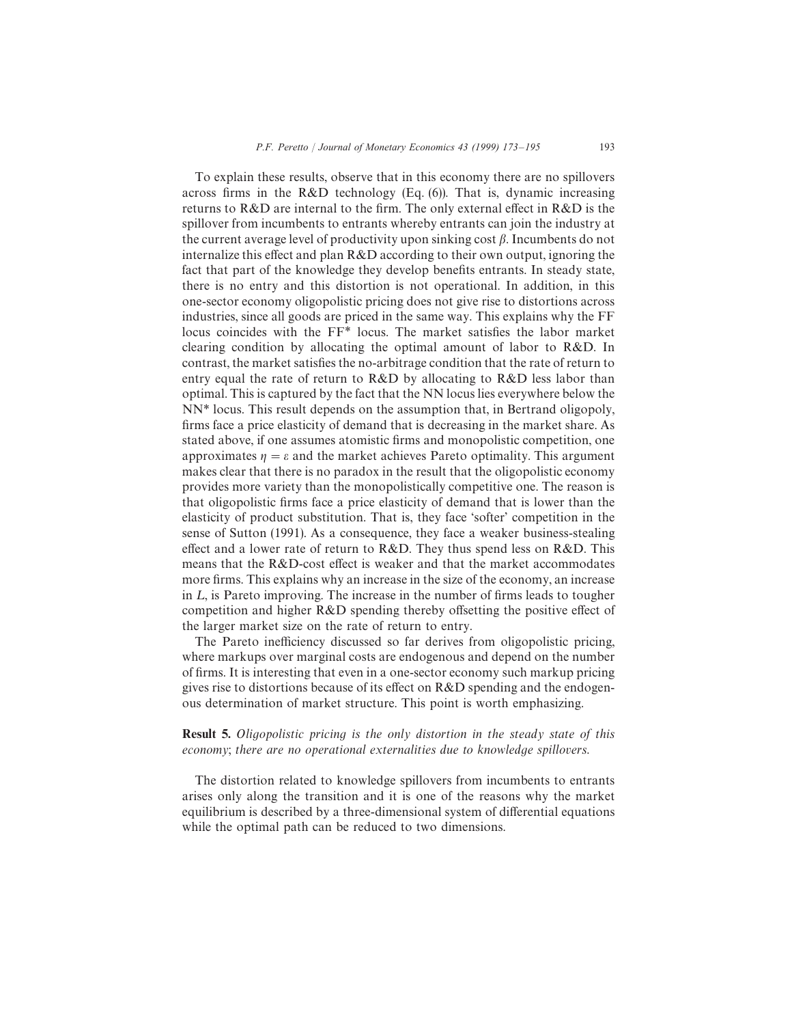To explain these results, observe that in this economy there are no spillovers across firms in the R&D technology (Eq. (6)). That is, dynamic increasing returns to  $R&D$  are internal to the firm. The only external effect in  $R&D$  is the spillover from incumbents to entrants whereby entrants can join the industry at the current average level of productivity upon sinking cost  $\beta$ . Incumbents do not internalize this effect and plan R&D according to their own output, ignoring the fact that part of the knowledge they develop benefits entrants. In steady state, there is no entry and this distortion is not operational. In addition, in this one-sector economy oligopolistic pricing does not give rise to distortions across industries, since all goods are priced in the same way. This explains why the FF locus coincides with the FF\* locus. The market satisfies the labor market clearing condition by allocating the optimal amount of labor to R&D. In contrast, the market satisfies the no-arbitrage condition that the rate of return to entry equal the rate of return to R&D by allocating to R&D less labor than optimal. This is captured by the fact that the NN locus lies everywhere below the NN\* locus. This result depends on the assumption that, in Bertrand oligopoly, firms face a price elasticity of demand that is decreasing in the market share. As stated above, if one assumes atomistic firms and monopolistic competition, one approximates  $\eta = \varepsilon$  and the market achieves Pareto optimality. This argument makes clear that there is no paradox in the result that the oligopolistic economy provides more variety than the monopolistically competitive one. The reason is that oligopolistic firms face a price elasticity of demand that is lower than the elasticity of product substitution. That is, they face 'softer' competition in the sense of Sutton (1991). As a consequence, they face a weaker business-stealing effect and a lower rate of return to  $R&D$ . They thus spend less on  $R&D$ . This means that the R&D-cost effect is weaker and that the market accommodates more firms. This explains why an increase in the size of the economy, an increase in  $L$ , is Pareto improving. The increase in the number of firms leads to tougher competition and higher R&D spending thereby offsetting the positive effect of the larger market size on the rate of return to entry.

The Pareto inefficiency discussed so far derives from oligopolistic pricing, where markups over marginal costs are endogenous and depend on the number of firms. It is interesting that even in a one-sector economy such markup pricing gives rise to distortions because of its effect on  $R\&D$  spending and the endogenous determination of market structure. This point is worth emphasizing.

**Result 5.** Oligopolistic pricing is the only distortion in the steady state of this economy; there are no operational externalities due to knowledge spillovers.

The distortion related to knowledge spillovers from incumbents to entrants arises only along the transition and it is one of the reasons why the market equilibrium is described by a three-dimensional system of differential equations while the optimal path can be reduced to two dimensions.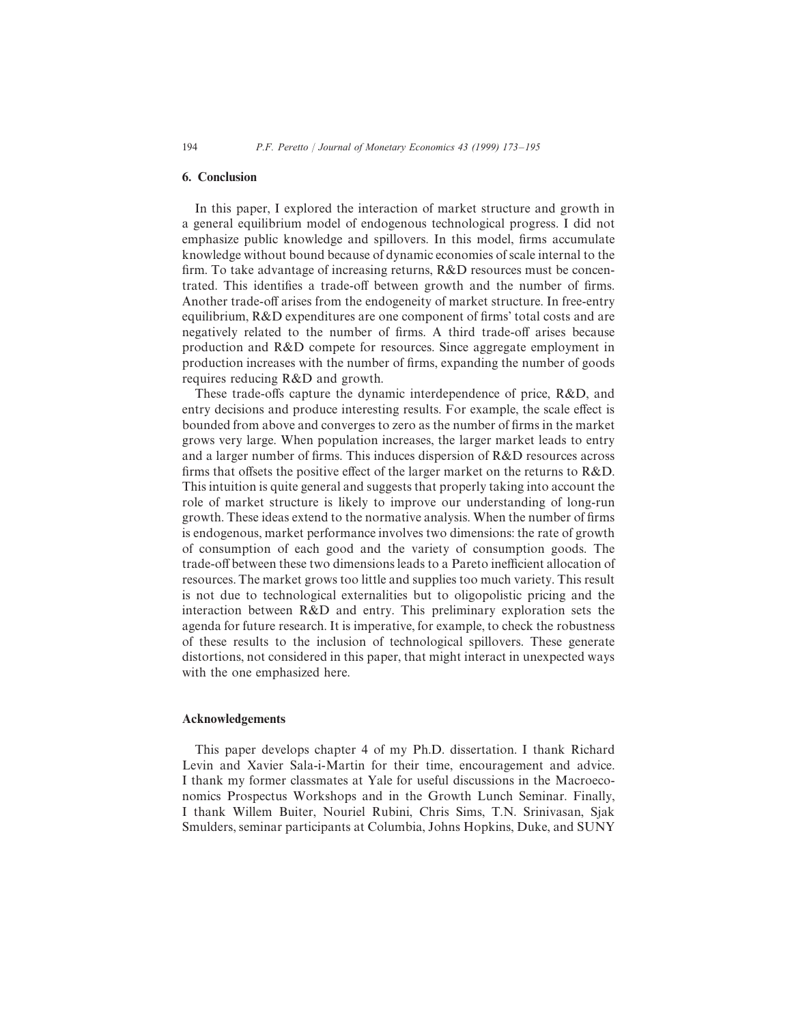#### 6. Conclusion

In this paper, I explored the interaction of market structure and growth in a general equilibrium model of endogenous technological progress. I did not emphasize public knowledge and spillovers. In this model, firms accumulate knowledge without bound because of dynamic economies of scale internal to the firm. To take advantage of increasing returns, R&D resources must be concentrated. This identifies a trade-off between growth and the number of firms. Another trade-off arises from the endogeneity of market structure. In free-entry equilibrium, R&D expenditures are one component of firms' total costs and are negatively related to the number of firms. A third trade-off arises because production and R&D compete for resources. Since aggregate employment in production increases with the number of firms, expanding the number of goods requires reducing R&D and growth.

These trade-offs capture the dynamic interdependence of price, R&D, and entry decisions and produce interesting results. For example, the scale effect is bounded from above and converges to zero as the number of firms in the market grows very large. When population increases, the larger market leads to entry and a larger number of firms. This induces dispersion of R&D resources across firms that offsets the positive effect of the larger market on the returns to R&D. This intuition is quite general and suggests that properly taking into account the role of market structure is likely to improve our understanding of long-run growth. These ideas extend to the normative analysis. When the number of firms is endogenous, market performance involves two dimensions: the rate of growth of consumption of each good and the variety of consumption goods. The trade-off between these two dimensions leads to a Pareto inefficient allocation of resources. The market grows too little and supplies too much variety. This result is not due to technological externalities but to oligopolistic pricing and the interaction between R&D and entry. This preliminary exploration sets the agenda for future research. It is imperative, for example, to check the robustness of these results to the inclusion of technological spillovers. These generate distortions, not considered in this paper, that might interact in unexpected ways with the one emphasized here.

## Acknowledgements

This paper develops chapter 4 of my Ph.D. dissertation. I thank Richard Levin and Xavier Sala-i-Martin for their time, encouragement and advice. I thank my former classmates at Yale for useful discussions in the Macroeconomics Prospectus Workshops and in the Growth Lunch Seminar. Finally, I thank Willem Buiter, Nouriel Rubini, Chris Sims, T.N. Srinivasan, Sjak Smulders, seminar participants at Columbia, Johns Hopkins, Duke, and SUNY